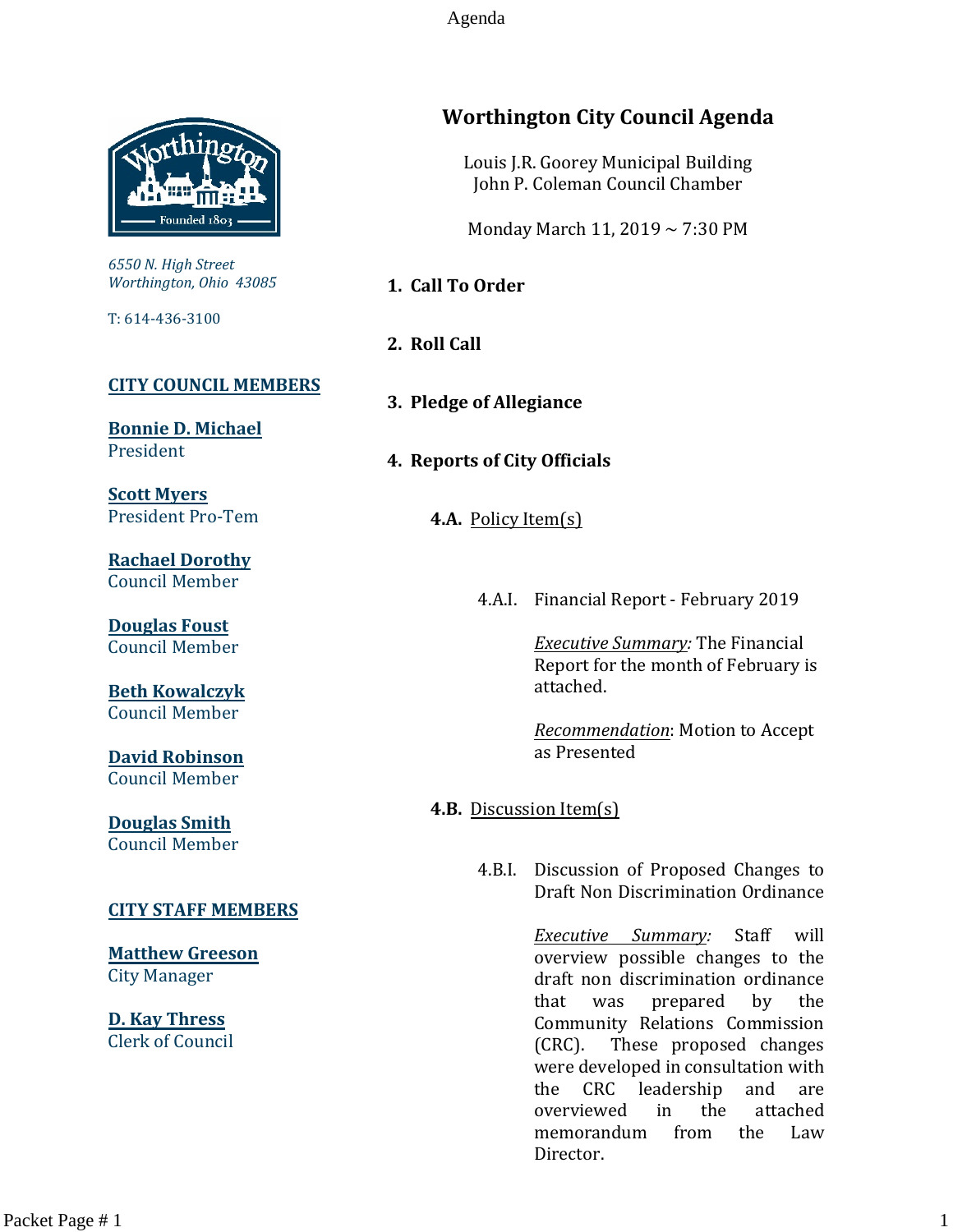Agenda



*6550 N. High Street Worthington, Ohio 43085*

T: 614-436-3100

#### **[CITY COUNCIL MEMBERS](mailto:CityCouncil@ci.worthington.oh.us?subject=Email%20from%20City%20Council%20Meeting%20Agenda%20Link)**

**[Bonnie D. Michael](mailto:bmichael@ci.worthington.oh.us?subject=Email%20from%20City%20Council%20Meeting%20Agenda%20Link)** President

**[Scott Myers](mailto:smyers@ci.worthington.oh.us?subject=Email%20from%20City%20Council%20Meeting%20Agenda%20Link)** President Pro-Tem

**[Rachael Dorothy](mailto:rdorothy@ci.worthington.oh.us?subject=Email%20from%20City%20Council%20Meeting%20Agenda%20Link)** Council Member

**[Douglas Foust](mailto:Doug.Foust@ci.worthington.oh.us?subject=Email%20from%20City%20Council%20Meeting%20Agenda%20Link)** Council Member

**[Beth Kowalczyk](mailto:BKowalczyk@ci.worthington.oh.us)** Council Member

**[David Robinson](mailto:DRobinson@ci.worthington.oh.us)** Council Member

**[Douglas Smith](mailto:DSmith@ci.worthington.oh.us?subject=Email%20from%20City%20Council%20Meeting%20Agenda%20Link)** Council Member

#### **[CITY STAFF MEMBERS](mailto:Council@ci.worthington.oh.us?subject=Email%20from%20City%20Council%20Meeting%20Agenda%20Link)**

**[Matthew Greeson](mailto:MGreeson@ci.worthington.oh.us?subject=Email%20from%20City%20Council%20Meeting%20Agenda%20Link)** City Manager

**[D. Kay Thress](mailto:DThress@ci.worthington.oh.us?subject=Email%20from%20City%20Council%20Meeting%20Agenda%20Link)** Clerk of Council

# **Worthington City Council Agenda**

Louis J.R. Goorey Municipal Building John P. Coleman Council Chamber

Monday March 11, 2019 ~ 7:30 PM

**1. Call To Order**

- **2. Roll Call**
- **3. Pledge of Allegiance**

#### **4. Reports of City Officials**

**4.A.** Policy Item(s)

4.A.I. Financial Report - February 2019

*Executive Summary:* The Financial Report for the month of February is attached.

*Recommendation*: Motion to Accept as Presented

**4.B.** Discussion Item(s)

4.B.I. Discussion of Proposed Changes to Draft Non Discrimination Ordinance

> *Executive Summary:* Staff will overview possible changes to the draft non discrimination ordinance that was prepared by the Community Relations Commission (CRC). These proposed changes were developed in consultation with the CRC leadership and are overviewed in the attached memorandum from the Law Director.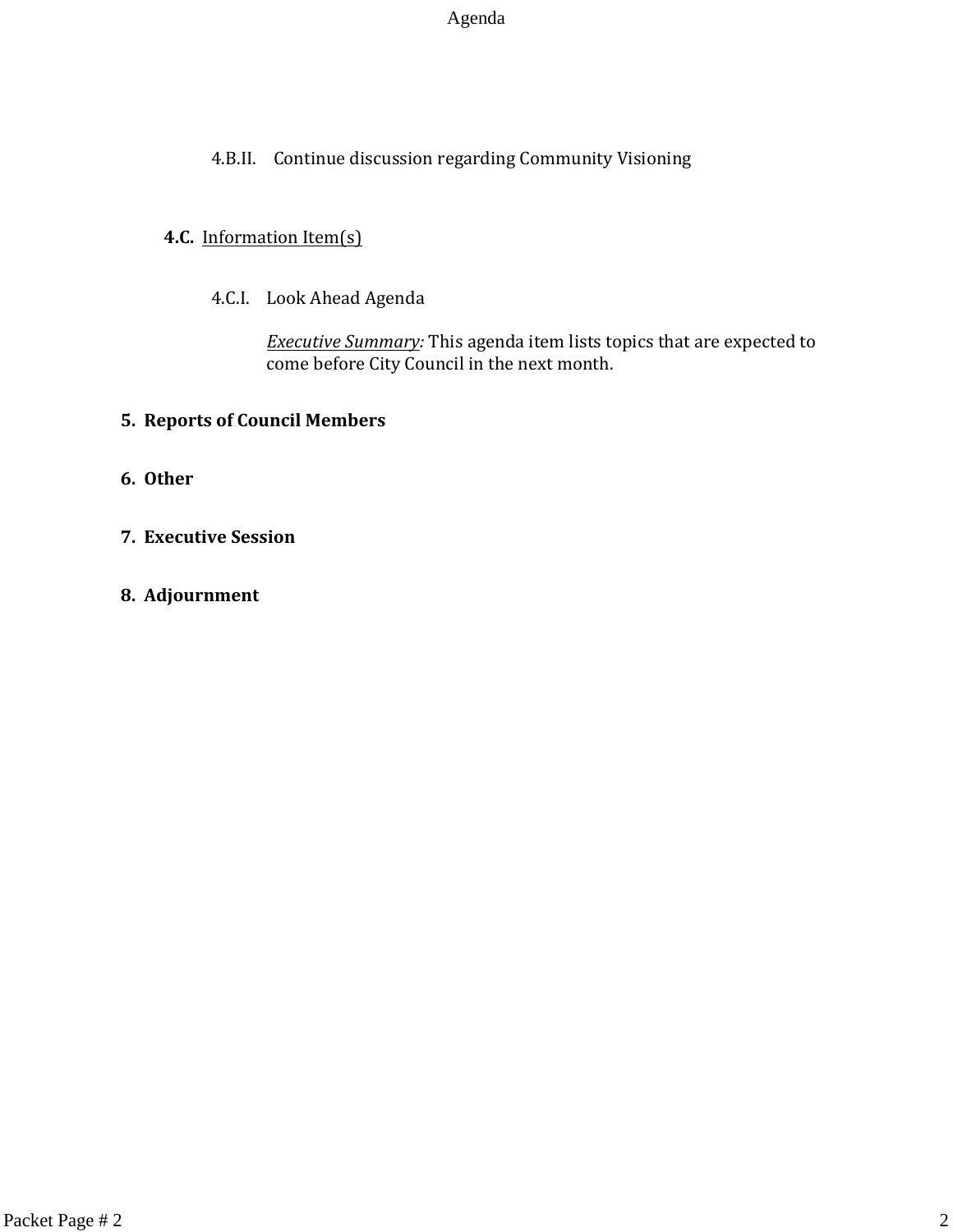#### Agenda

# 4.B.II. Continue discussion regarding Community Visioning

#### **4.C.** Information Item(s)

4.C.I. Look Ahead Agenda

*Executive Summary:* This agenda item lists topics that are expected to come before City Council in the next month.

#### **5. Reports of Council Members**

- **6. Other**
- **7. Executive Session**
- **8. Adjournment**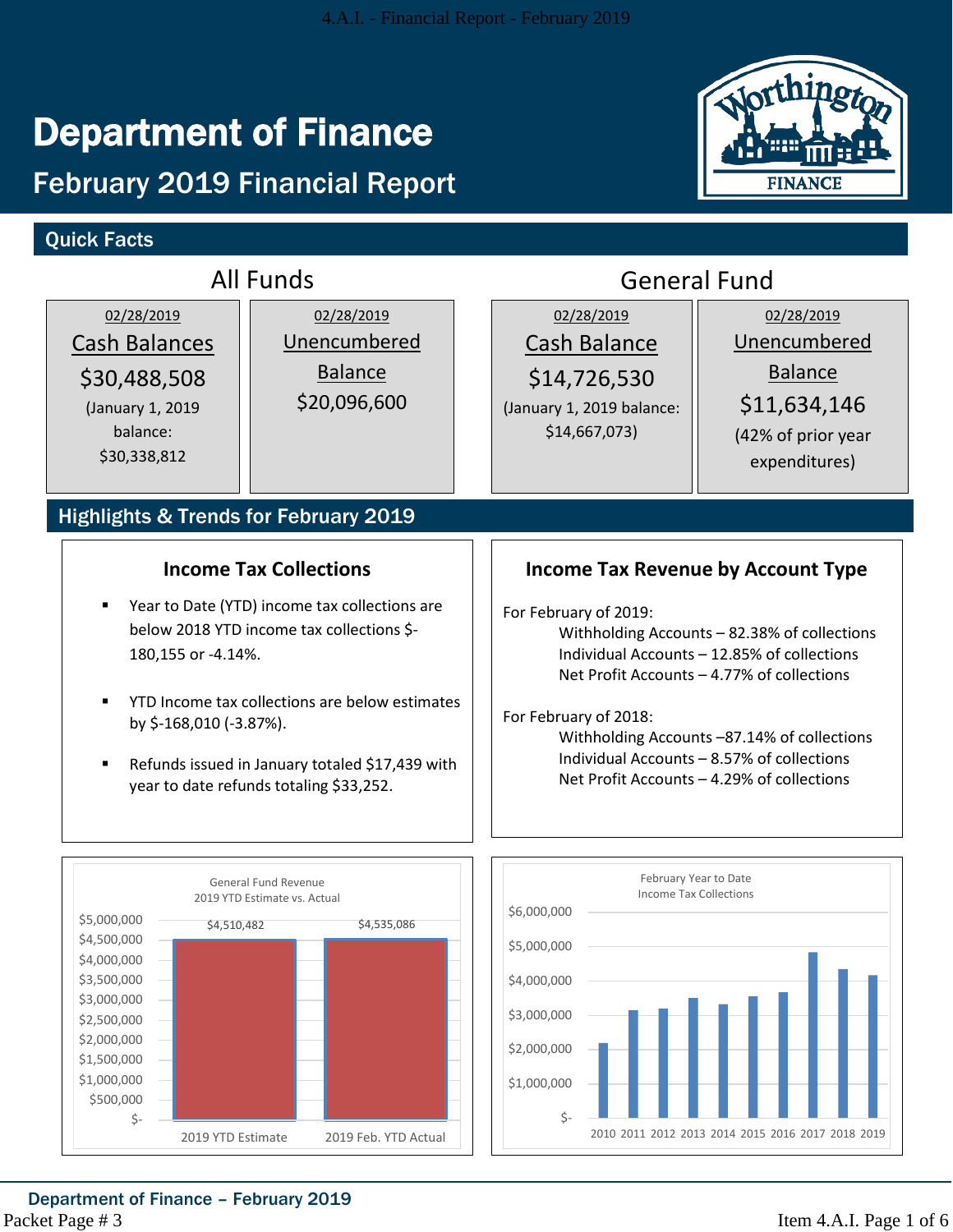# Department of Finance

# February 2019 Financial Report

# Quick Facts



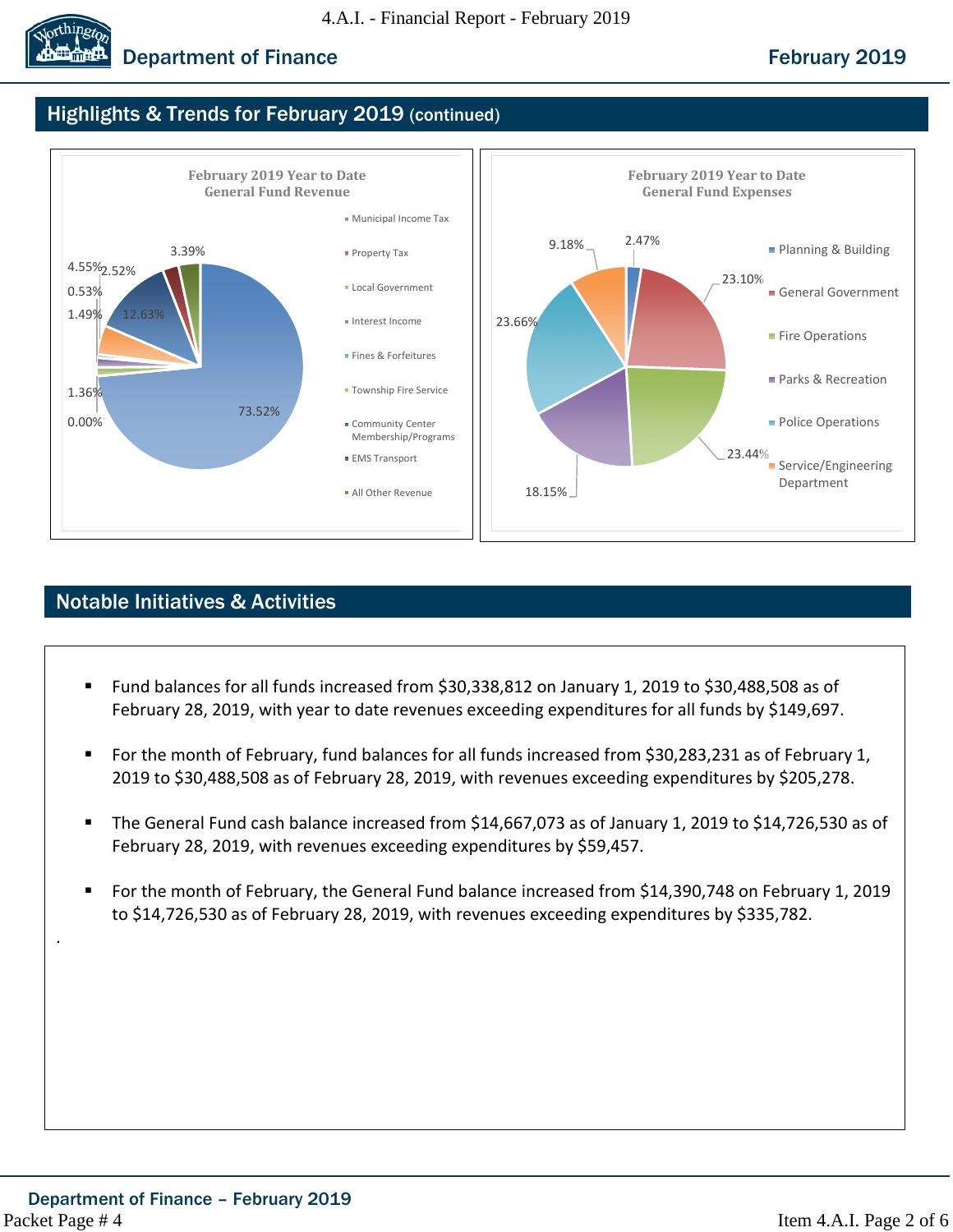

# **Department of Finance February 2019**

# Highlights & Trends for February 2019 (continued)



# Notable Initiatives & Activities

- Fund balances for all funds increased from \$30,338,812 on January 1, 2019 to \$30,488,508 as of February 28, 2019, with year to date revenues exceeding expenditures for all funds by \$149,697.
- For the month of February, fund balances for all funds increased from \$30,283,231 as of February 1, 2019 to \$30,488,508 as of February 28, 2019, with revenues exceeding expenditures by \$205,278.
- The General Fund cash balance increased from \$14,667,073 as of January 1, 2019 to \$14,726,530 as of February 28, 2019, with revenues exceeding expenditures by \$59,457.
- For the month of February, the General Fund balance increased from \$14,390,748 on February 1, 2019 to \$14,726,530 as of February 28, 2019, with revenues exceeding expenditures by \$335,782.

.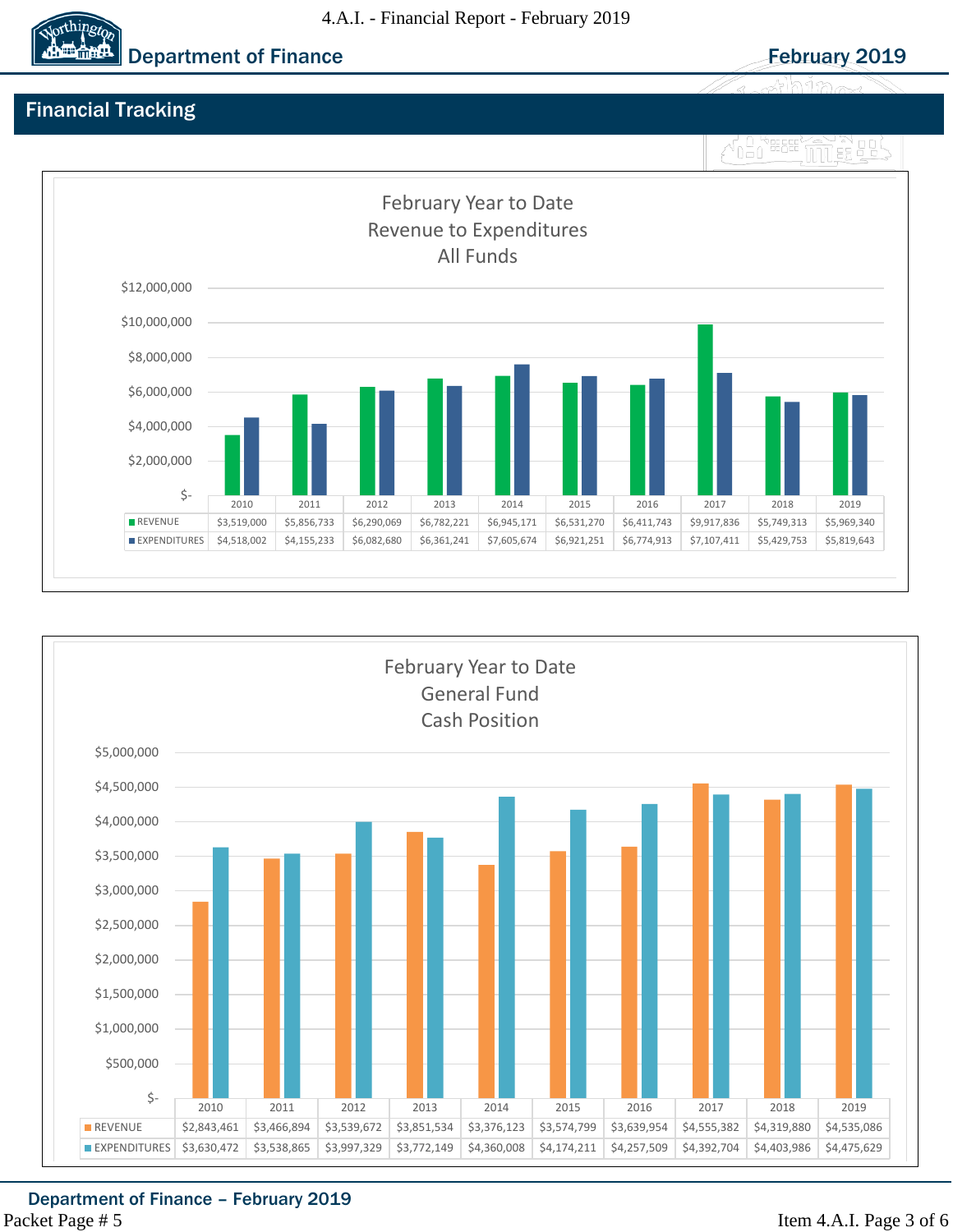#### 4.A.I. - Financial Report - February 2019



# Financial Tracking

# MO HERE MILES





Department of Finance – February 2019 Packet Page # 5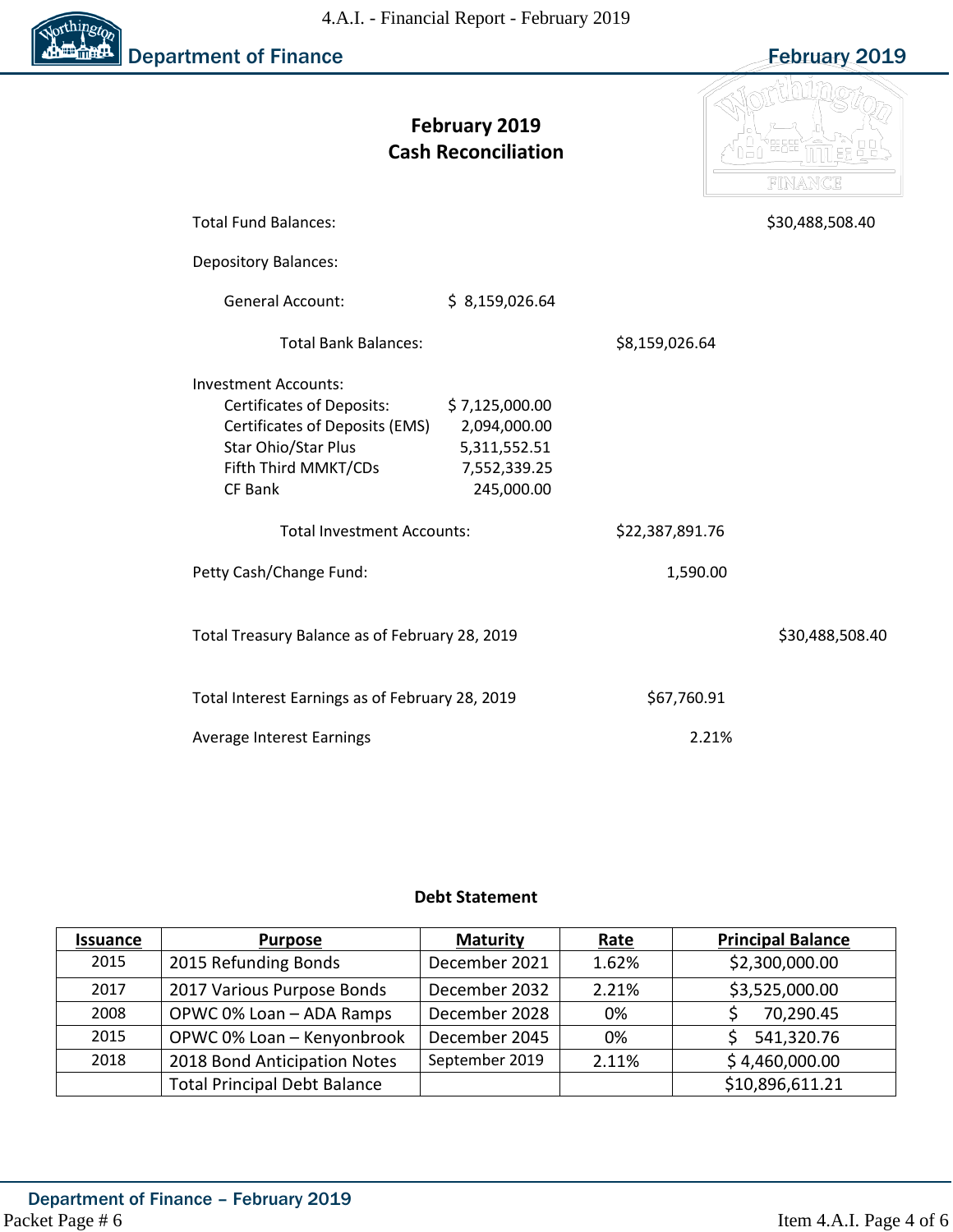

| <b>February 2019</b><br><b>Cash Reconciliation</b> |                                                | FINANCE         |                 |  |  |  |
|----------------------------------------------------|------------------------------------------------|-----------------|-----------------|--|--|--|
| <b>Total Fund Balances:</b>                        |                                                |                 | \$30,488,508.40 |  |  |  |
| <b>Depository Balances:</b>                        |                                                |                 |                 |  |  |  |
| <b>General Account:</b>                            | \$8,159,026.64                                 |                 |                 |  |  |  |
| <b>Total Bank Balances:</b>                        |                                                | \$8,159,026.64  |                 |  |  |  |
| <b>Investment Accounts:</b>                        |                                                |                 |                 |  |  |  |
| <b>Certificates of Deposits:</b>                   | \$7,125,000.00                                 |                 |                 |  |  |  |
| Certificates of Deposits (EMS)                     | 2,094,000.00                                   |                 |                 |  |  |  |
| Star Ohio/Star Plus                                | 5,311,552.51                                   |                 |                 |  |  |  |
| Fifth Third MMKT/CDs                               | 7,552,339.25                                   |                 |                 |  |  |  |
| CF Bank                                            | 245,000.00                                     |                 |                 |  |  |  |
| <b>Total Investment Accounts:</b>                  |                                                | \$22,387,891.76 |                 |  |  |  |
| Petty Cash/Change Fund:                            |                                                | 1,590.00        |                 |  |  |  |
|                                                    | Total Treasury Balance as of February 28, 2019 |                 |                 |  |  |  |
| Total Interest Earnings as of February 28, 2019    |                                                | \$67,760.91     |                 |  |  |  |
| Average Interest Earnings                          |                                                | 2.21%           |                 |  |  |  |

#### **Debt Statement**

| <b>Issuance</b> | <b>Purpose</b>                      | <b>Maturity</b> | Rate  | <b>Principal Balance</b> |  |  |  |  |  |
|-----------------|-------------------------------------|-----------------|-------|--------------------------|--|--|--|--|--|
| 2015            | 2015 Refunding Bonds                | December 2021   | 1.62% | \$2,300,000.00           |  |  |  |  |  |
| 2017            | 2017 Various Purpose Bonds          | December 2032   | 2.21% | \$3,525,000.00           |  |  |  |  |  |
| 2008            | OPWC 0% Loan - ADA Ramps            | December 2028   | 0%    | 70,290.45                |  |  |  |  |  |
| 2015            | OPWC 0% Loan - Kenyonbrook          | December 2045   | 0%    | 541,320.76               |  |  |  |  |  |
| 2018            | 2018 Bond Anticipation Notes        | September 2019  | 2.11% | \$4,460,000.00           |  |  |  |  |  |
|                 | <b>Total Principal Debt Balance</b> |                 |       | \$10,896,611.21          |  |  |  |  |  |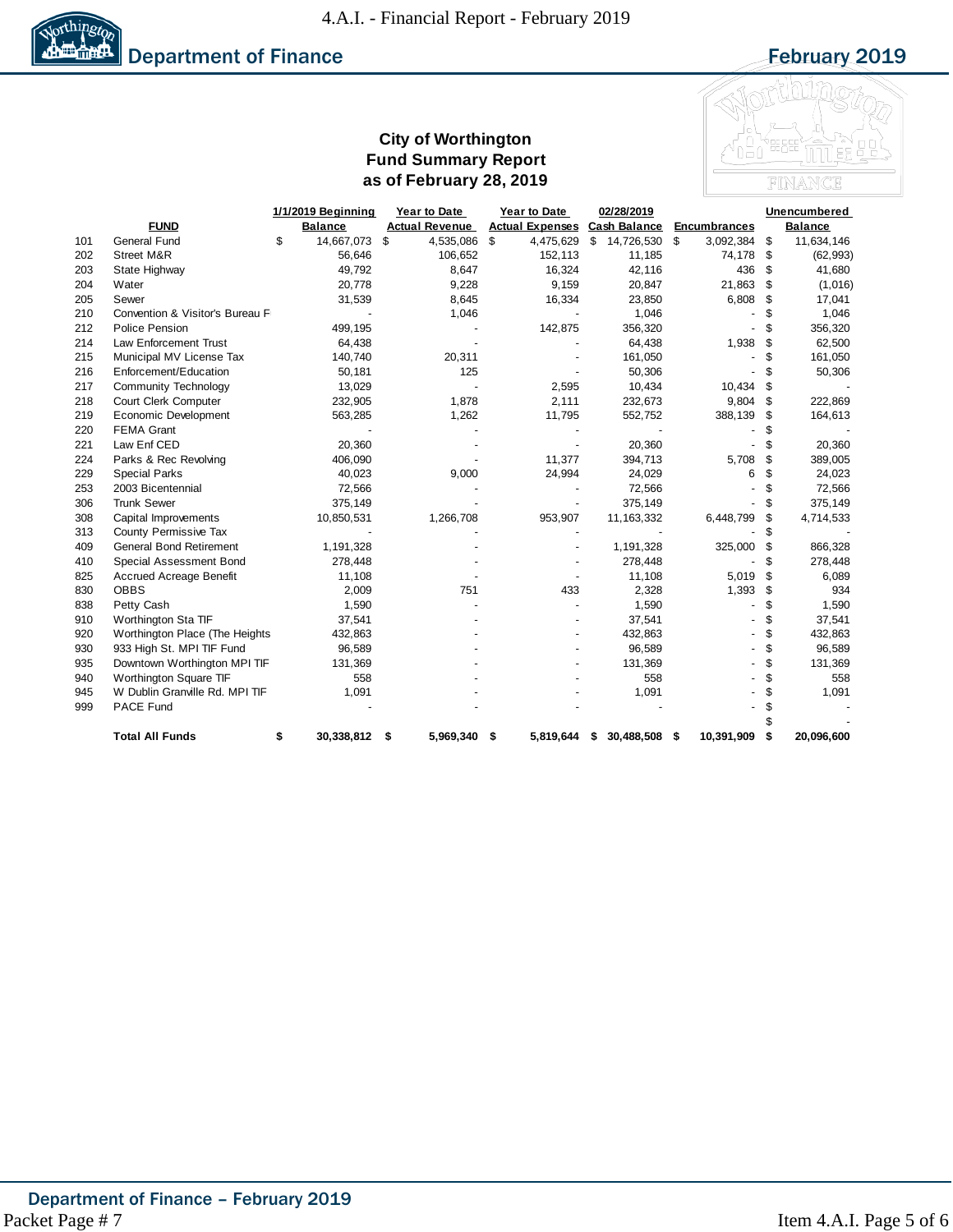

#### **City of Worthington Fund Summary Report as of February 28, 2019**



|     |                                 | 1/1/2019 Beginning | Year to Date          | Year to Date           | 02/28/2019          |                     | Unencumbered |                |  |
|-----|---------------------------------|--------------------|-----------------------|------------------------|---------------------|---------------------|--------------|----------------|--|
|     | <b>FUND</b>                     | <b>Balance</b>     | <b>Actual Revenue</b> | <b>Actual Expenses</b> | <b>Cash Balance</b> | <b>Encumbrances</b> |              | <b>Balance</b> |  |
| 101 | <b>General Fund</b>             | 14,667,073<br>\$   | \$<br>4,535,086       | \$<br>4,475,629        | \$<br>14,726,530 \$ | 3,092,384           | \$           | 11,634,146     |  |
| 202 | Street M&R                      | 56,646             | 106,652               | 152,113                | 11,185              | 74,178              | \$           | (62, 993)      |  |
| 203 | State Highway                   | 49,792             | 8,647                 | 16,324                 | 42,116              | 436                 | \$           | 41,680         |  |
| 204 | Water                           | 20,778             | 9,228                 | 9,159                  | 20,847              | 21,863              | \$           | (1,016)        |  |
| 205 | Sewer                           | 31,539             | 8,645                 | 16,334                 | 23,850              | 6,808               | \$           | 17,041         |  |
| 210 | Convention & Visitor's Bureau F |                    | 1,046                 |                        | 1,046               |                     | S            | 1,046          |  |
| 212 | <b>Police Pension</b>           | 499,195            |                       | 142,875                | 356,320             |                     | \$           | 356,320        |  |
| 214 | <b>Law Enforcement Trust</b>    | 64,438             |                       |                        | 64,438              | 1,938               | S            | 62,500         |  |
| 215 | Municipal MV License Tax        | 140,740            | 20,311                |                        | 161,050             |                     | S            | 161,050        |  |
| 216 | Enforcement/Education           | 50,181             | 125                   |                        | 50,306              |                     | \$           | 50,306         |  |
| 217 | <b>Community Technology</b>     | 13,029             |                       | 2,595                  | 10,434              | 10,434              | \$           |                |  |
| 218 | Court Clerk Computer            | 232,905            | 1,878                 | 2,111                  | 232,673             | 9,804               | \$           | 222,869        |  |
| 219 | Economic Development            | 563,285            | 1,262                 | 11,795                 | 552,752             | 388,139             | \$           | 164,613        |  |
| 220 | <b>FEMA Grant</b>               |                    |                       |                        |                     |                     | S            |                |  |
| 221 | Law Enf CED                     | 20,360             |                       |                        | 20,360              |                     | \$           | 20,360         |  |
| 224 | Parks & Rec Revolving           | 406,090            |                       | 11,377                 | 394,713             | 5,708               | \$           | 389,005        |  |
| 229 | <b>Special Parks</b>            | 40,023             | 9,000                 | 24,994                 | 24,029              | 6                   | \$           | 24,023         |  |
| 253 | 2003 Bicentennial               | 72,566             |                       |                        | 72,566              |                     | \$           | 72,566         |  |
| 306 | <b>Trunk Sewer</b>              | 375,149            |                       |                        | 375,149             |                     | \$           | 375,149        |  |
| 308 | Capital Improvements            | 10,850,531         | 1,266,708             | 953,907                | 11, 163, 332        | 6,448,799           | \$           | 4,714,533      |  |
| 313 | County Permissive Tax           |                    |                       |                        |                     |                     | S            |                |  |
| 409 | <b>General Bond Retirement</b>  | 1,191,328          |                       |                        | 1,191,328           | 325,000             | \$           | 866,328        |  |
| 410 | Special Assessment Bond         | 278,448            |                       |                        | 278,448             |                     | \$           | 278,448        |  |
| 825 | <b>Accrued Acreage Benefit</b>  | 11,108             |                       |                        | 11,108              | 5,019               | \$           | 6,089          |  |
| 830 | <b>OBBS</b>                     | 2,009              | 751                   | 433                    | 2,328               | 1,393               | \$           | 934            |  |
| 838 | Petty Cash                      | 1,590              |                       |                        | 1,590               |                     | \$           | 1,590          |  |
| 910 | Worthington Sta TIF             | 37,541             |                       |                        | 37,541              |                     | \$           | 37,541         |  |
| 920 | Worthington Place (The Heights  | 432,863            |                       |                        | 432,863             |                     | \$           | 432,863        |  |
| 930 | 933 High St. MPI TIF Fund       | 96,589             |                       |                        | 96,589              |                     | \$           | 96,589         |  |
| 935 | Downtown Worthington MPI TIF    | 131,369            |                       |                        | 131,369             |                     | \$           | 131,369        |  |
| 940 | Worthington Square TIF          | 558                |                       |                        | 558                 |                     | \$           | 558            |  |
| 945 | W Dublin Granville Rd. MPI TIF  | 1,091              |                       |                        | 1,091               |                     |              | 1,091          |  |
| 999 | PACE Fund                       |                    |                       |                        |                     |                     |              |                |  |
|     |                                 |                    |                       |                        |                     |                     |              |                |  |
|     | <b>Total All Funds</b>          | \$<br>30,338,812   | 5,969,340<br>\$       | 5,819,644<br>- \$      | 30,488,508<br>S     | 10,391,909<br>- \$  | S            | 20,096,600     |  |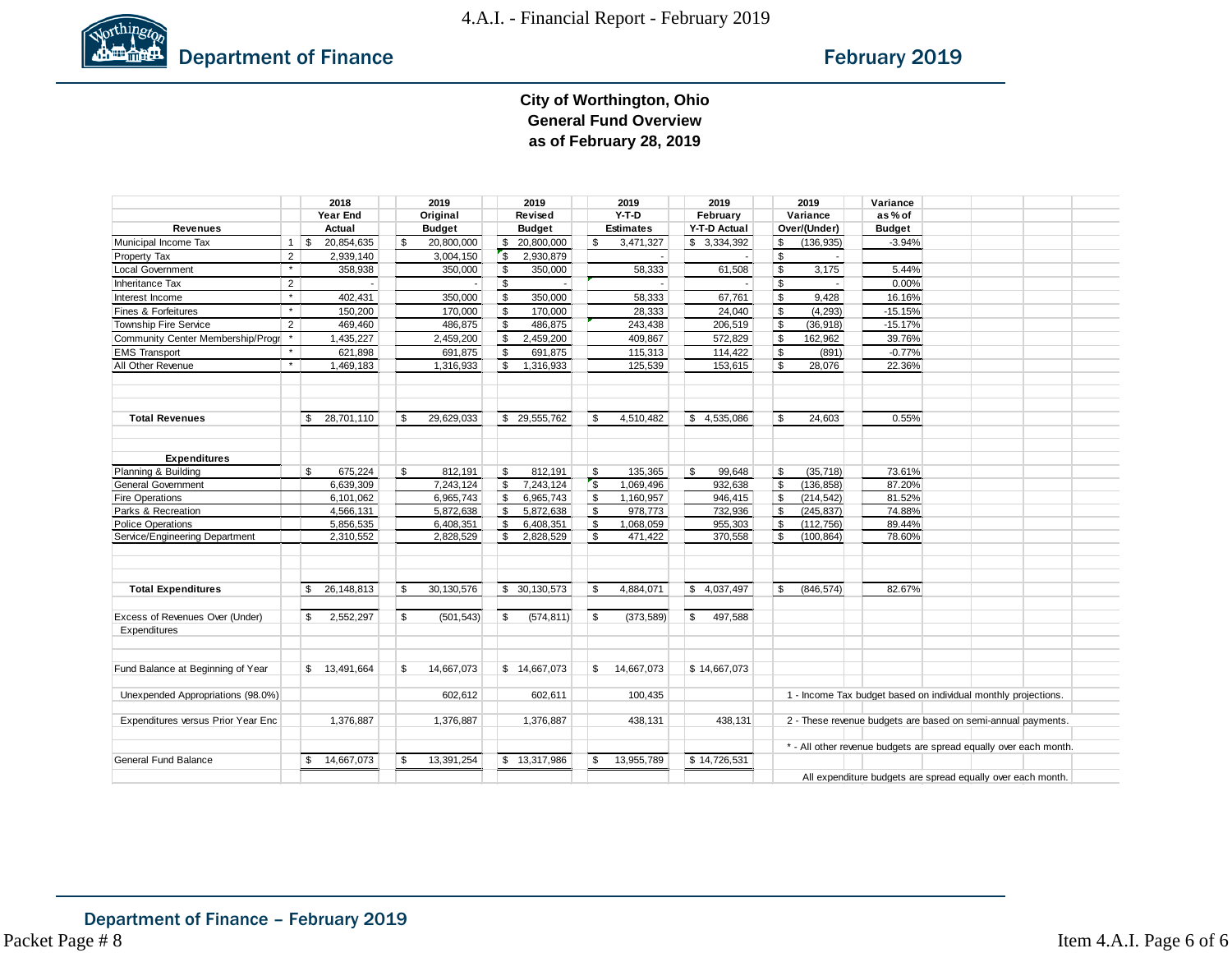

#### **City of Worthington, Ohio General Fund Overview as of February 28, 2019**

|                                    |                | 2018               |          | 2019          |               | 2019          |            | 2019             | 2019          |                | 2019                                                              | Variance                                                    |  |  |  |
|------------------------------------|----------------|--------------------|----------|---------------|---------------|---------------|------------|------------------|---------------|----------------|-------------------------------------------------------------------|-------------------------------------------------------------|--|--|--|
|                                    |                | Year End           |          | Original      |               | Revised       |            | $Y-T-D$          | February      |                | Variance                                                          | as% of                                                      |  |  |  |
| <b>Revenues</b>                    |                | Actual             |          | <b>Budget</b> |               | <b>Budget</b> |            | <b>Estimates</b> | Y-T-D Actual  |                | Over/(Under)                                                      | <b>Budget</b>                                               |  |  |  |
| Municipal Income Tax               |                | 20,854,635         | \$       | 20,800,000    | $\mathfrak s$ | 20,800,000    | \$         | 3,471,327        | \$3,334,392   | \$             | (136, 935)                                                        | $-3.94%$                                                    |  |  |  |
| Property Tax                       | $\overline{2}$ | 2,939,140          |          | 3,004,150     | $\mathsf{s}$  | 2,930,879     |            |                  |               | $\mathfrak s$  |                                                                   |                                                             |  |  |  |
| <b>Local Government</b>            | $\star$        | 358,938            |          | 350,000       | 5             | 350,000       |            | 58,333           | 61,508        | $\mathfrak{F}$ | 3,175                                                             | 5.44%                                                       |  |  |  |
| <b>Inheritance Tax</b>             | 2              |                    |          |               | \$            |               |            |                  |               | $\mathfrak s$  |                                                                   | 0.00%                                                       |  |  |  |
| Interest Income                    | $\pmb{\ast}$   | 402,431            |          | 350,000       | \$            | 350,000       |            | 58,333           | 67,761        | $\mathfrak{P}$ | 9,428                                                             | 16.16%                                                      |  |  |  |
| Fines & Forfeitures                | $\pmb{\ast}$   | 150,200            |          | 170,000       | \$            | 170,000       |            | 28,333           | 24,040        | \$             | (4, 293)                                                          | $-15.15%$                                                   |  |  |  |
| <b>Township Fire Service</b>       | $\overline{2}$ | 469,460            |          | 486,875       | \$            | 486,875       |            | 243,438          | 206,519       | $\mathfrak s$  | (36, 918)                                                         | $-15.17%$                                                   |  |  |  |
| Community Center Membership/Progr  |                | 1,435,227          |          | 2,459,200     | \$            | 2,459,200     |            | 409,867          | 572,829       | $\mathfrak s$  | 162.962                                                           | 39.76%                                                      |  |  |  |
| <b>EMS Transport</b>               | $\star$        | 621,898            |          | 691,875       | - \$          | 691,875       |            | 115,313          | 114,422       | \$             | (891)                                                             | $-0.77%$                                                    |  |  |  |
| All Other Revenue                  | $\star$        | 1,469,183          |          | 1,316,933     | \$            | 1,316,933     |            | 125,539          | 153,615       | \$             | 28,076                                                            | 22.36%                                                      |  |  |  |
| <b>Total Revenues</b>              |                | 28,701,110<br>\$   | <b>S</b> | 29,629,033    |               | \$ 29,555,762 | \$         | 4,510,482        | \$4,535,086   | \$             | 24,603                                                            | 0.55%                                                       |  |  |  |
|                                    |                |                    |          |               |               |               |            |                  |               |                |                                                                   |                                                             |  |  |  |
| <b>Expenditures</b>                |                |                    |          |               |               |               |            |                  |               |                |                                                                   |                                                             |  |  |  |
| Planning & Building                |                | \$<br>675,224      | \$       | 812,191       | \$            | 812,191       | \$         | 135,365          | \$<br>99,648  | \$             | (35, 718)                                                         | 73.61%                                                      |  |  |  |
| <b>General Government</b>          |                | 6,639,309          |          | 7,243,124     | \$            | 7,243,124     | $\sqrt{3}$ | 1,069,496        | 932,638       | \$             | (136, 858)                                                        | 87.20%                                                      |  |  |  |
| <b>Fire Operations</b>             |                | 6,101,062          |          | 6,965,743     | l \$          | 6,965,743     | $\sqrt{3}$ | 1,160,957        | 946,415       | \$             | (214, 542)                                                        | 81.52%                                                      |  |  |  |
| Parks & Recreation                 |                | 4,566,131          |          | 5,872,638     | \$            | 5,872,638     | \$         | 978,773          | 732,936       | \$             | (245, 837)                                                        | 74.88%                                                      |  |  |  |
| <b>Police Operations</b>           |                | 5,856,535          |          | 6,408,351     | \$            | 6,408,351     | \$         | 1,068,059        | 955,303       | \$             | (112, 756)                                                        | 89.44%                                                      |  |  |  |
| Service/Engineering Department     |                | 2,310,552          |          | 2,828,529     | \$            | 2,828,529     | \$         | 471,422          | 370,558       | \$             | (100, 864)                                                        | 78.60%                                                      |  |  |  |
|                                    |                |                    |          |               |               |               |            |                  |               |                |                                                                   | 82.67%                                                      |  |  |  |
| <b>Total Expenditures</b>          |                | 26, 148, 813<br>\$ | Ŝ.       | 30,130,576    |               | \$ 30,130,573 | <b>S</b>   | 4,884,071        | \$4,037,497   | \$             | (846, 574)                                                        |                                                             |  |  |  |
| Excess of Revenues Over (Under)    |                | 2,552,297<br>\$    | \$       | (501, 543)    | \$            | (574, 811)    | \$         | (373, 589)       | \$<br>497,588 |                |                                                                   |                                                             |  |  |  |
| Expenditures                       |                |                    |          |               |               |               |            |                  |               |                |                                                                   |                                                             |  |  |  |
| Fund Balance at Beginning of Year  |                | \$ 13,491,664      | \$       | 14,667,073    |               | \$14,667,073  | \$         | 14.667.073       | \$14,667,073  |                |                                                                   |                                                             |  |  |  |
| Unexpended Appropriations (98.0%)  |                |                    |          | 602,612       |               | 602,611       |            | 100,435          |               |                | 1 - Income Tax budget based on individual monthly projections.    |                                                             |  |  |  |
|                                    |                |                    |          |               |               |               |            |                  |               |                |                                                                   |                                                             |  |  |  |
| Expenditures versus Prior Year Enc |                | 1,376,887          |          | 1,376,887     |               | 1,376,887     |            | 438,131          | 438,131       |                | 2 - These revenue budgets are based on semi-annual payments.      |                                                             |  |  |  |
|                                    |                |                    |          |               |               |               |            |                  |               |                | * - All other revenue budgets are spread equally over each month. |                                                             |  |  |  |
| General Fund Balance               |                | 14,667,073<br>\$   | \$.      | 13,391,254    |               | \$13,317,986  | \$         | 13,955,789       | \$14,726,531  |                |                                                                   |                                                             |  |  |  |
|                                    |                |                    |          |               |               |               |            |                  |               |                |                                                                   | All expenditure budgets are spread equally over each month. |  |  |  |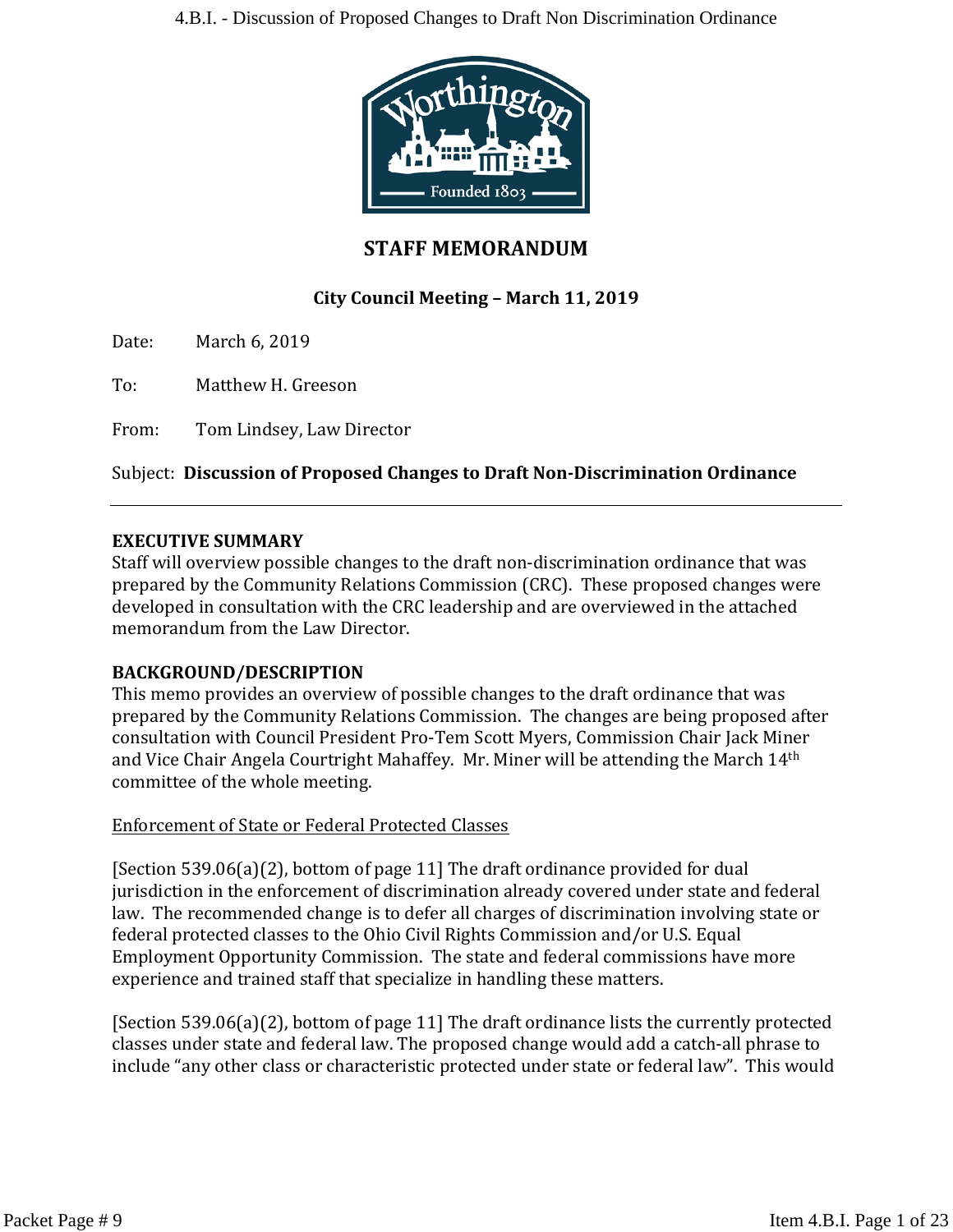

# **STAFF MEMORANDUM**

# **City Council Meeting – March 11, 2019**

Date: March 6, 2019

To: Matthew H. Greeson

From: Tom Lindsey, Law Director

#### Subject: **Discussion of Proposed Changes to Draft Non-Discrimination Ordinance**

#### **EXECUTIVE SUMMARY**

Staff will overview possible changes to the draft non-discrimination ordinance that was prepared by the Community Relations Commission (CRC). These proposed changes were developed in consultation with the CRC leadership and are overviewed in the attached memorandum from the Law Director.

#### **BACKGROUND/DESCRIPTION**

This memo provides an overview of possible changes to the draft ordinance that was prepared by the Community Relations Commission. The changes are being proposed after consultation with Council President Pro-Tem Scott Myers, Commission Chair Jack Miner and Vice Chair Angela Courtright Mahaffey. Mr. Miner will be attending the March 14th committee of the whole meeting.

#### Enforcement of State or Federal Protected Classes

[Section 539.06(a)(2), bottom of page 11] The draft ordinance provided for dual jurisdiction in the enforcement of discrimination already covered under state and federal law. The recommended change is to defer all charges of discrimination involving state or federal protected classes to the Ohio Civil Rights Commission and/or U.S. Equal Employment Opportunity Commission. The state and federal commissions have more experience and trained staff that specialize in handling these matters.

[Section 539.06(a)(2), bottom of page 11] The draft ordinance lists the currently protected classes under state and federal law. The proposed change would add a catch-all phrase to include "any other class or characteristic protected under state or federal law". This would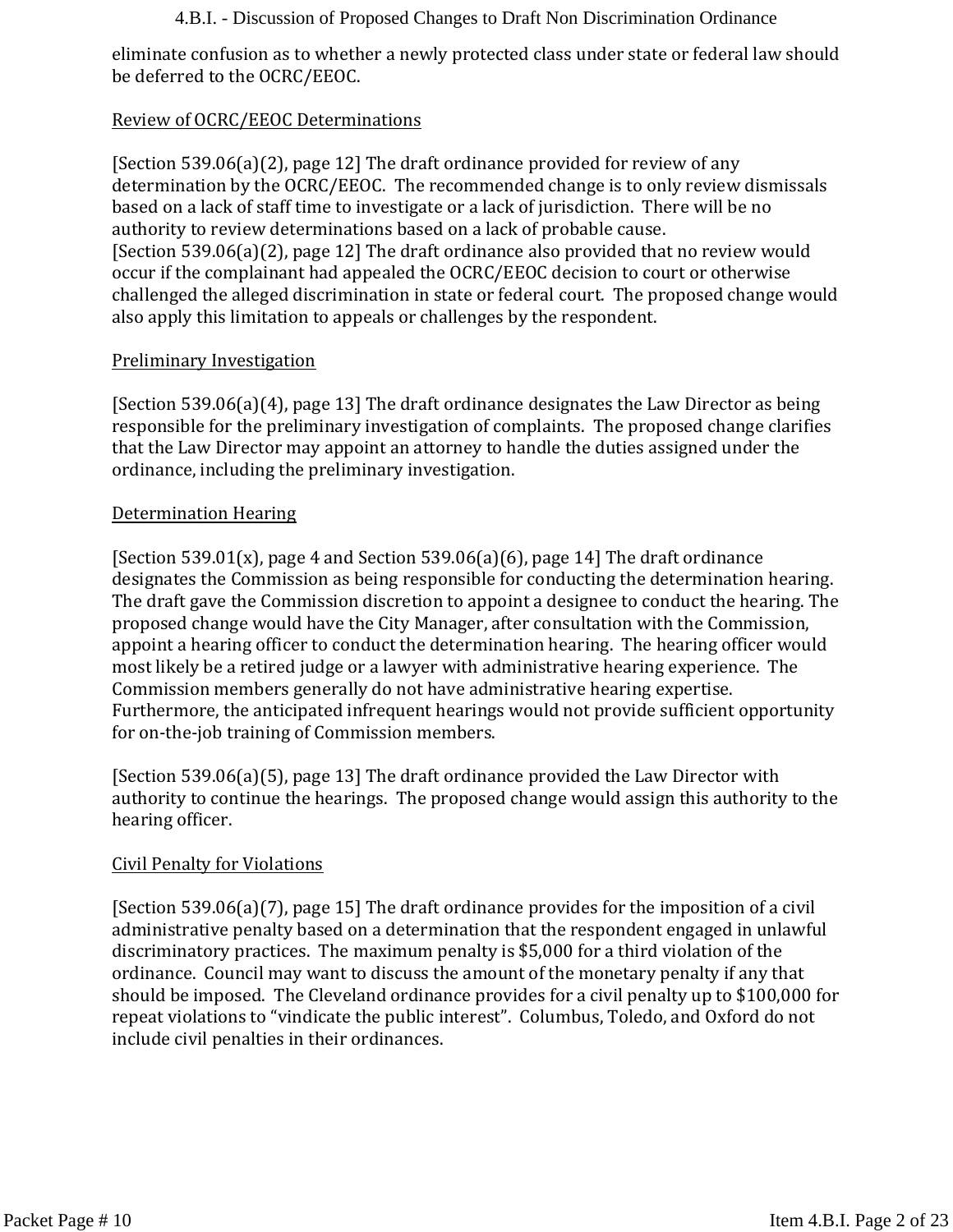eliminate confusion as to whether a newly protected class under state or federal law should be deferred to the OCRC/EEOC.

### Review of OCRC/EEOC Determinations

[Section 539.06(a)(2), page 12] The draft ordinance provided for review of any determination by the OCRC/EEOC. The recommended change is to only review dismissals based on a lack of staff time to investigate or a lack of jurisdiction. There will be no authority to review determinations based on a lack of probable cause. [Section 539.06(a)(2), page 12] The draft ordinance also provided that no review would occur if the complainant had appealed the OCRC/EEOC decision to court or otherwise challenged the alleged discrimination in state or federal court. The proposed change would also apply this limitation to appeals or challenges by the respondent.

#### Preliminary Investigation

[Section 539.06(a)(4), page 13] The draft ordinance designates the Law Director as being responsible for the preliminary investigation of complaints. The proposed change clarifies that the Law Director may appoint an attorney to handle the duties assigned under the ordinance, including the preliminary investigation.

#### Determination Hearing

[Section 539.01(x), page 4 and Section 539.06(a)(6), page 14] The draft ordinance designates the Commission as being responsible for conducting the determination hearing. The draft gave the Commission discretion to appoint a designee to conduct the hearing. The proposed change would have the City Manager, after consultation with the Commission, appoint a hearing officer to conduct the determination hearing. The hearing officer would most likely be a retired judge or a lawyer with administrative hearing experience. The Commission members generally do not have administrative hearing expertise. Furthermore, the anticipated infrequent hearings would not provide sufficient opportunity for on-the-job training of Commission members.

[Section 539.06(a)(5), page 13] The draft ordinance provided the Law Director with authority to continue the hearings. The proposed change would assign this authority to the hearing officer.

### Civil Penalty for Violations

[Section 539.06(a)(7), page 15] The draft ordinance provides for the imposition of a civil administrative penalty based on a determination that the respondent engaged in unlawful discriminatory practices. The maximum penalty is \$5,000 for a third violation of the ordinance. Council may want to discuss the amount of the monetary penalty if any that should be imposed. The Cleveland ordinance provides for a civil penalty up to \$100,000 for repeat violations to "vindicate the public interest". Columbus, Toledo, and Oxford do not include civil penalties in their ordinances.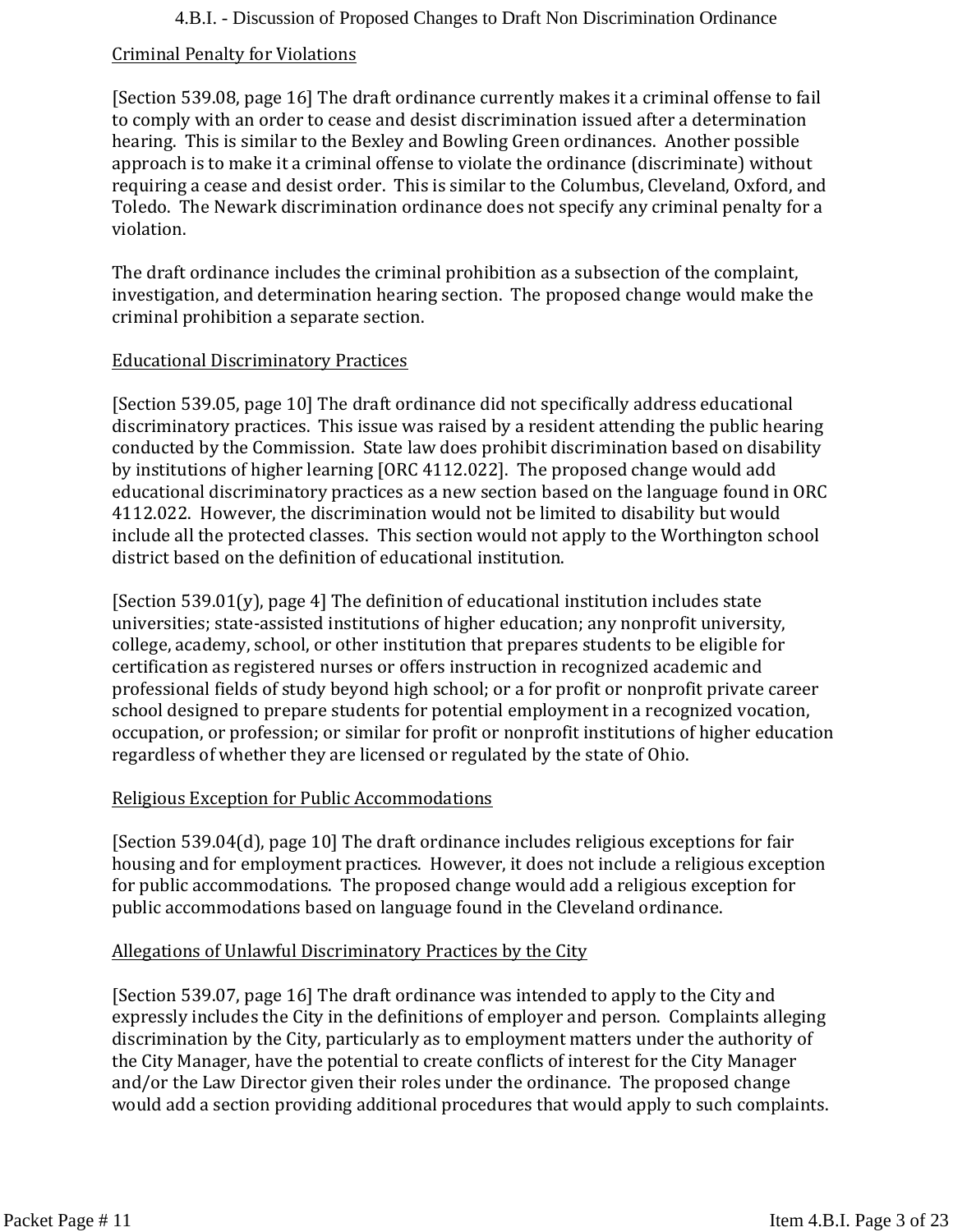#### Criminal Penalty for Violations

[Section 539.08, page 16] The draft ordinance currently makes it a criminal offense to fail to comply with an order to cease and desist discrimination issued after a determination hearing. This is similar to the Bexley and Bowling Green ordinances. Another possible approach is to make it a criminal offense to violate the ordinance (discriminate) without requiring a cease and desist order. This is similar to the Columbus, Cleveland, Oxford, and Toledo. The Newark discrimination ordinance does not specify any criminal penalty for a violation.

The draft ordinance includes the criminal prohibition as a subsection of the complaint, investigation, and determination hearing section. The proposed change would make the criminal prohibition a separate section.

#### Educational Discriminatory Practices

[Section 539.05, page 10] The draft ordinance did not specifically address educational discriminatory practices. This issue was raised by a resident attending the public hearing conducted by the Commission. State law does prohibit discrimination based on disability by institutions of higher learning [ORC 4112.022]. The proposed change would add educational discriminatory practices as a new section based on the language found in ORC 4112.022. However, the discrimination would not be limited to disability but would include all the protected classes. This section would not apply to the Worthington school district based on the definition of educational institution.

[Section  $539.01(v)$ ], page 4] The definition of educational institution includes state universities; state-assisted institutions of higher education; any nonprofit university, college, academy, school, or other institution that prepares students to be eligible for certification as registered nurses or offers instruction in recognized academic and professional fields of study beyond high school; or a for profit or nonprofit private career school designed to prepare students for potential employment in a recognized vocation, occupation, or profession; or similar for profit or nonprofit institutions of higher education regardless of whether they are licensed or regulated by the state of Ohio.

### Religious Exception for Public Accommodations

[Section 539.04(d), page 10] The draft ordinance includes religious exceptions for fair housing and for employment practices. However, it does not include a religious exception for public accommodations. The proposed change would add a religious exception for public accommodations based on language found in the Cleveland ordinance.

#### Allegations of Unlawful Discriminatory Practices by the City

[Section 539.07, page 16] The draft ordinance was intended to apply to the City and expressly includes the City in the definitions of employer and person. Complaints alleging discrimination by the City, particularly as to employment matters under the authority of the City Manager, have the potential to create conflicts of interest for the City Manager and/or the Law Director given their roles under the ordinance. The proposed change would add a section providing additional procedures that would apply to such complaints.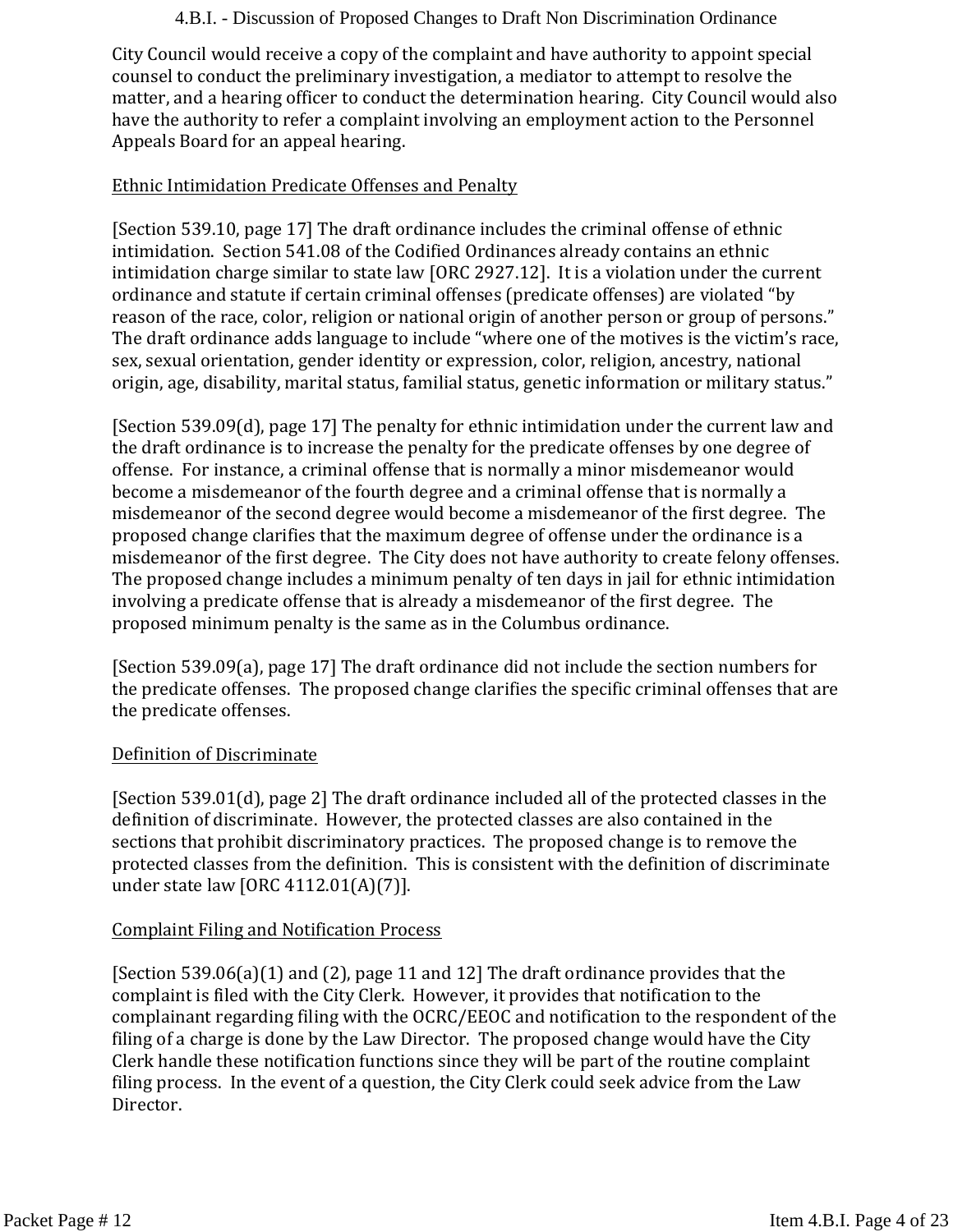City Council would receive a copy of the complaint and have authority to appoint special counsel to conduct the preliminary investigation, a mediator to attempt to resolve the matter, and a hearing officer to conduct the determination hearing. City Council would also have the authority to refer a complaint involving an employment action to the Personnel Appeals Board for an appeal hearing.

### Ethnic Intimidation Predicate Offenses and Penalty

[Section 539.10, page 17] The draft ordinance includes the criminal offense of ethnic intimidation. Section 541.08 of the Codified Ordinances already contains an ethnic intimidation charge similar to state law [ORC 2927.12]. It is a violation under the current ordinance and statute if certain criminal offenses (predicate offenses) are violated "by reason of the race, color, religion or national origin of another person or group of persons." The draft ordinance adds language to include "where one of the motives is the victim's race, sex, sexual orientation, gender identity or expression, color, religion, ancestry, national origin, age, disability, marital status, familial status, genetic information or military status."

[Section 539.09(d), page 17] The penalty for ethnic intimidation under the current law and the draft ordinance is to increase the penalty for the predicate offenses by one degree of offense. For instance, a criminal offense that is normally a minor misdemeanor would become a misdemeanor of the fourth degree and a criminal offense that is normally a misdemeanor of the second degree would become a misdemeanor of the first degree. The proposed change clarifies that the maximum degree of offense under the ordinance is a misdemeanor of the first degree. The City does not have authority to create felony offenses. The proposed change includes a minimum penalty of ten days in jail for ethnic intimidation involving a predicate offense that is already a misdemeanor of the first degree. The proposed minimum penalty is the same as in the Columbus ordinance.

[Section 539.09(a), page 17] The draft ordinance did not include the section numbers for the predicate offenses. The proposed change clarifies the specific criminal offenses that are the predicate offenses.

#### Definition of Discriminate

[Section 539.01(d), page 2] The draft ordinance included all of the protected classes in the definition of discriminate. However, the protected classes are also contained in the sections that prohibit discriminatory practices. The proposed change is to remove the protected classes from the definition. This is consistent with the definition of discriminate under state law [ORC 4112.01(A)(7)].

#### Complaint Filing and Notification Process

[Section 539.06(a)(1) and (2), page 11 and 12] The draft ordinance provides that the complaint is filed with the City Clerk. However, it provides that notification to the complainant regarding filing with the OCRC/EEOC and notification to the respondent of the filing of a charge is done by the Law Director. The proposed change would have the City Clerk handle these notification functions since they will be part of the routine complaint filing process. In the event of a question, the City Clerk could seek advice from the Law Director.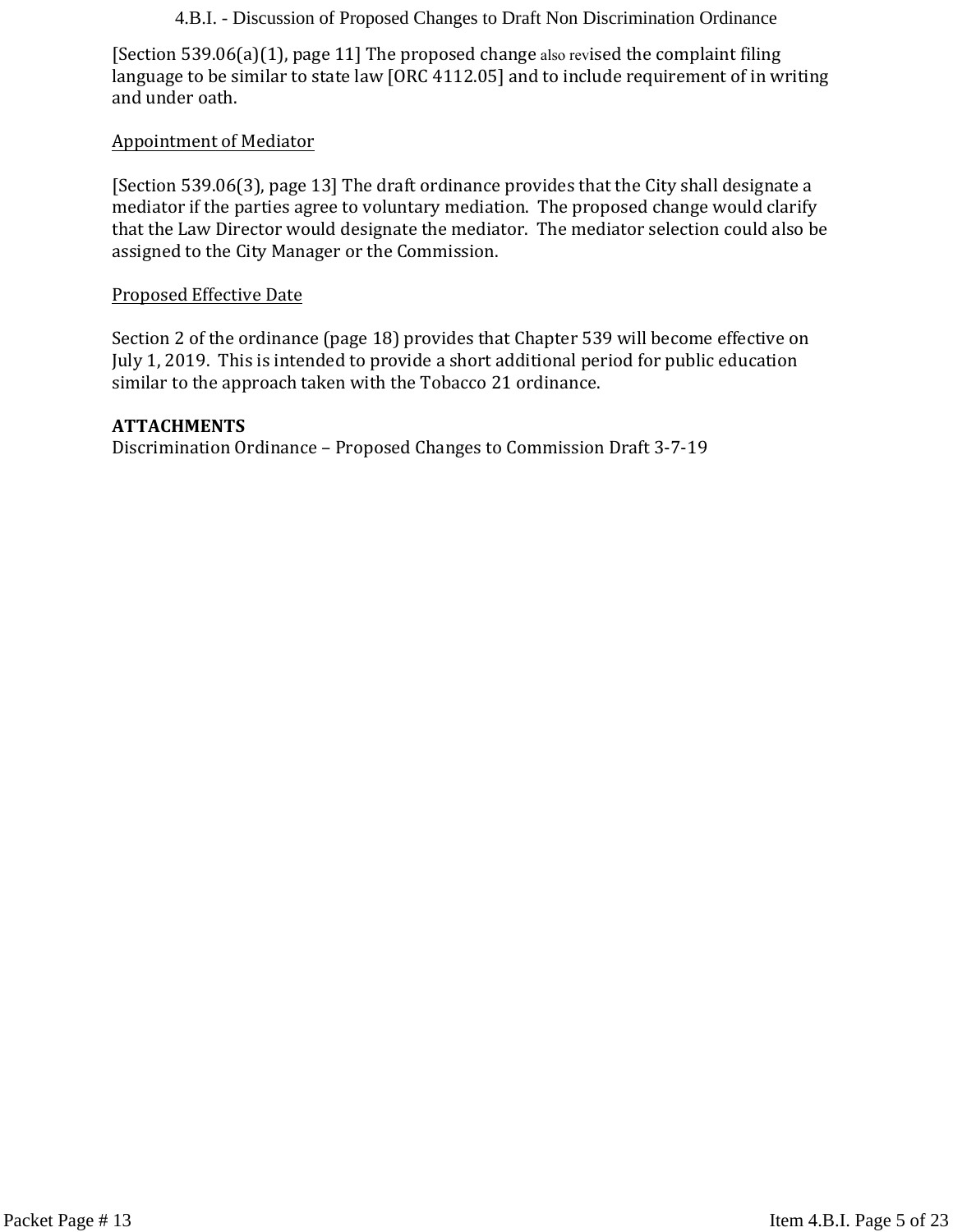[Section 539.06(a)(1), page 11] The proposed change also revised the complaint filing language to be similar to state law [ORC 4112.05] and to include requirement of in writing and under oath.

#### Appointment of Mediator

[Section 539.06(3), page 13] The draft ordinance provides that the City shall designate a mediator if the parties agree to voluntary mediation. The proposed change would clarify that the Law Director would designate the mediator. The mediator selection could also be assigned to the City Manager or the Commission.

#### Proposed Effective Date

Section 2 of the ordinance (page 18) provides that Chapter 539 will become effective on July 1, 2019. This is intended to provide a short additional period for public education similar to the approach taken with the Tobacco 21 ordinance.

#### **ATTACHMENTS**

Discrimination Ordinance – Proposed Changes to Commission Draft 3-7-19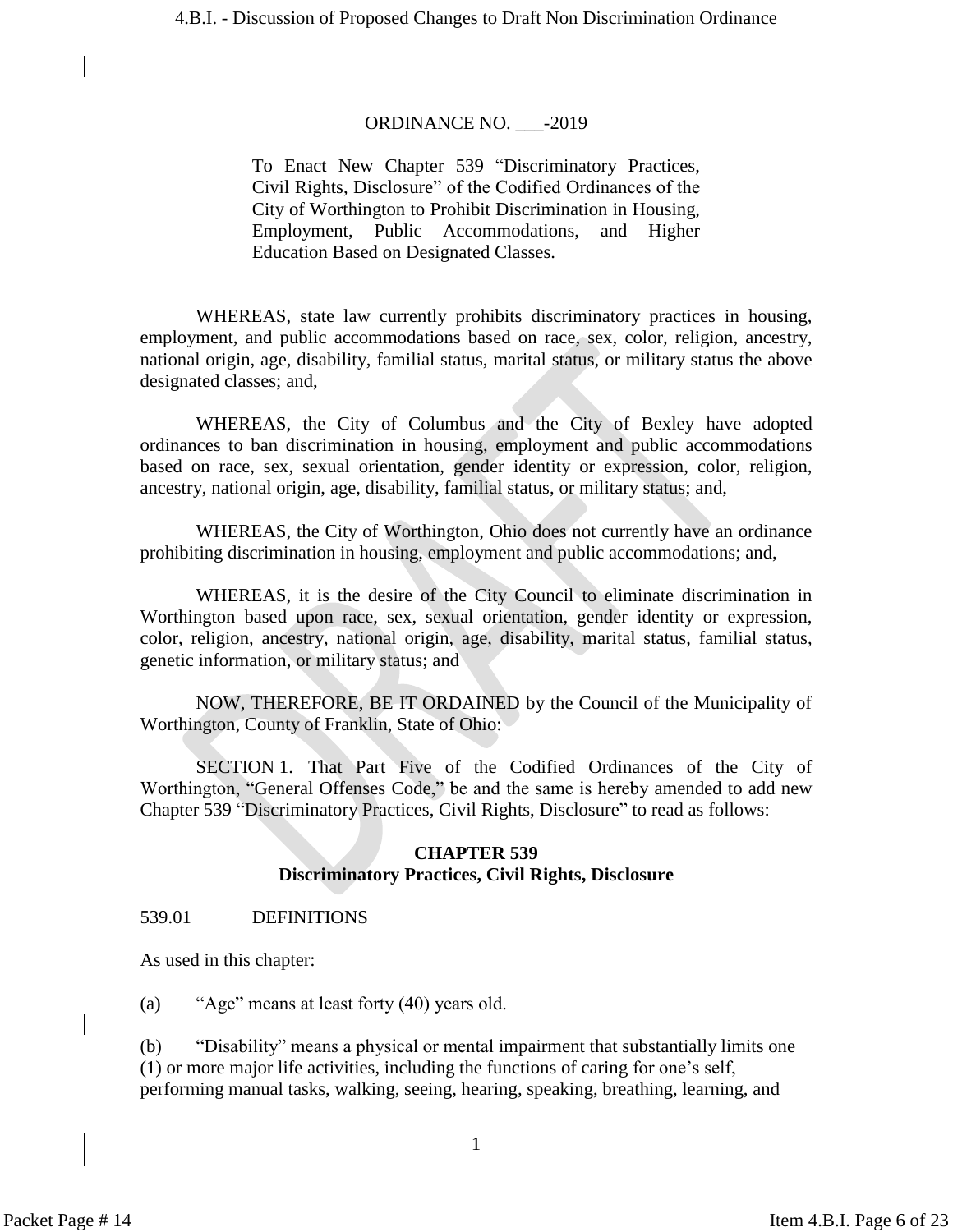#### ORDINANCE NO. \_\_\_-2019

To Enact New Chapter 539 "Discriminatory Practices, Civil Rights, Disclosure" of the Codified Ordinances of the City of Worthington to Prohibit Discrimination in Housing, Employment, Public Accommodations, and Higher Education Based on Designated Classes.

WHEREAS, state law currently prohibits discriminatory practices in housing, employment, and public accommodations based on race, sex, color, religion, ancestry, national origin, age, disability, familial status, marital status, or military status the above designated classes; and,

WHEREAS, the City of Columbus and the City of Bexley have adopted ordinances to ban discrimination in housing, employment and public accommodations based on race, sex, sexual orientation, gender identity or expression, color, religion, ancestry, national origin, age, disability, familial status, or military status; and,

WHEREAS, the City of Worthington, Ohio does not currently have an ordinance prohibiting discrimination in housing, employment and public accommodations; and,

WHEREAS, it is the desire of the City Council to eliminate discrimination in Worthington based upon race, sex, sexual orientation, gender identity or expression, color, religion, ancestry, national origin, age, disability, marital status, familial status, genetic information, or military status; and

NOW, THEREFORE, BE IT ORDAINED by the Council of the Municipality of Worthington, County of Franklin, State of Ohio:

SECTION 1. That Part Five of the Codified Ordinances of the City of Worthington, "General Offenses Code," be and the same is hereby amended to add new Chapter 539 "Discriminatory Practices, Civil Rights, Disclosure" to read as follows:

#### **CHAPTER 539 Discriminatory Practices, Civil Rights, Disclosure**

#### 539.01 DEFINITIONS

As used in this chapter:

(a) "Age" means at least forty (40) years old.

(b) "Disability" means a physical or mental impairment that substantially limits one (1) or more major life activities, including the functions of caring for one's self, performing manual tasks, walking, seeing, hearing, speaking, breathing, learning, and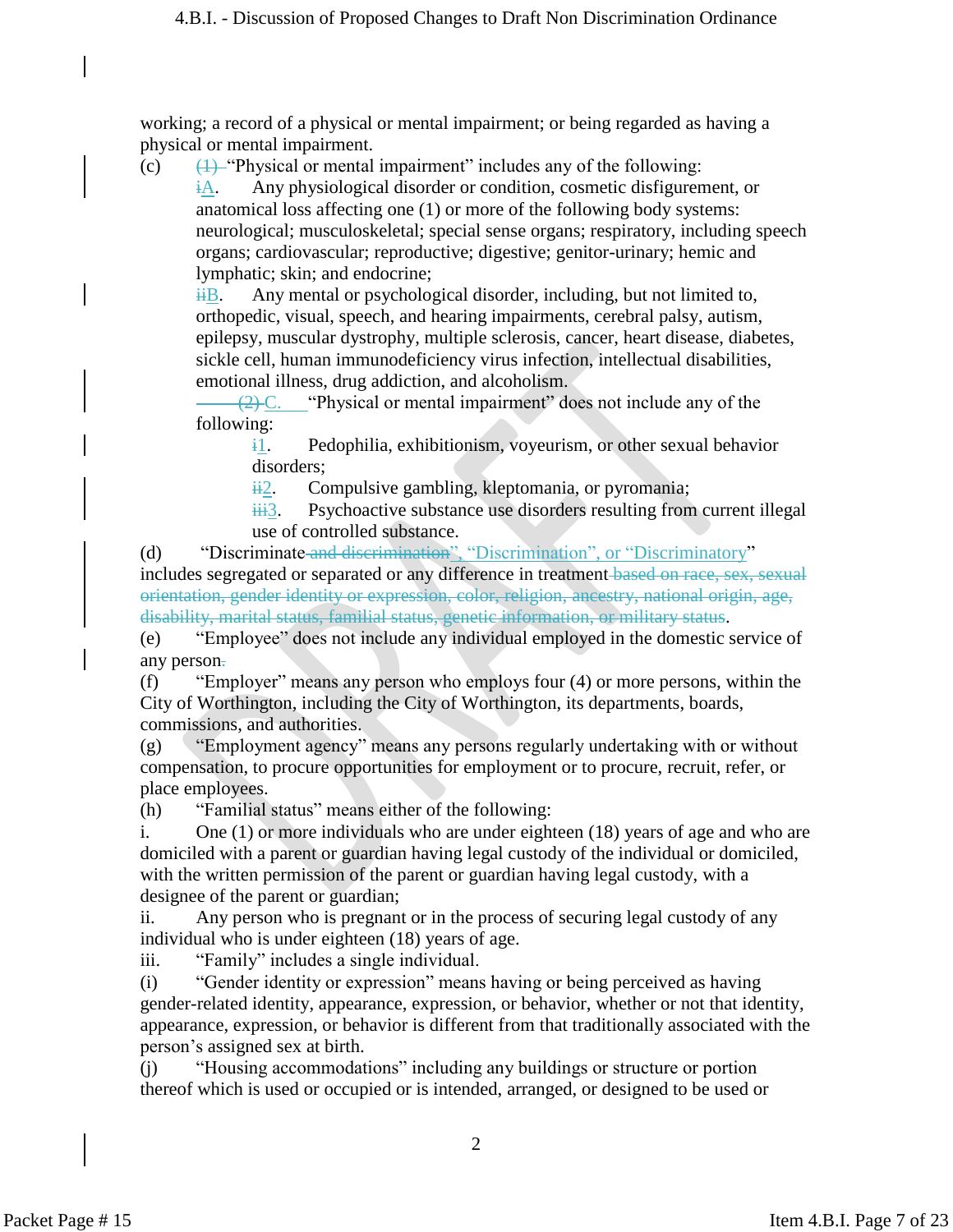working; a record of a physical or mental impairment; or being regarded as having a physical or mental impairment.

(c)  $\left(1\right)$  "Physical or mental impairment" includes any of the following:

iA. Any physiological disorder or condition, cosmetic disfigurement, or anatomical loss affecting one (1) or more of the following body systems: neurological; musculoskeletal; special sense organs; respiratory, including speech organs; cardiovascular; reproductive; digestive; genitor-urinary; hemic and lymphatic; skin; and endocrine;

 $\frac{1}{16}$ . Any mental or psychological disorder, including, but not limited to, orthopedic, visual, speech, and hearing impairments, cerebral palsy, autism, epilepsy, muscular dystrophy, multiple sclerosis, cancer, heart disease, diabetes, sickle cell, human immunodeficiency virus infection, intellectual disabilities, emotional illness, drug addiction, and alcoholism.

 $\frac{1}{2}$  C. "Physical or mental impairment" does not include any of the following:

i1. Pedophilia, exhibitionism, voyeurism, or other sexual behavior disorders;

 $\frac{12}{12}$ . Compulsive gambling, kleptomania, or pyromania;

 $\frac{1}{111}$ . Psychoactive substance use disorders resulting from current illegal use of controlled substance.

(d) "Discriminate and discrimination", "Discrimination", or "Discriminatory" includes segregated or separated or any difference in treatment based on race, sex, sexual orientation, gender identity or expression, color, religion, ancestry, national origin, age, disability, marital status, familial status, genetic information, or military status.

(e) "Employee" does not include any individual employed in the domestic service of any person-

(f) "Employer" means any person who employs four (4) or more persons, within the City of Worthington, including the City of Worthington, its departments, boards, commissions, and authorities.

(g) "Employment agency" means any persons regularly undertaking with or without compensation, to procure opportunities for employment or to procure, recruit, refer, or place employees.

(h) "Familial status" means either of the following:

i. One (1) or more individuals who are under eighteen (18) years of age and who are domiciled with a parent or guardian having legal custody of the individual or domiciled, with the written permission of the parent or guardian having legal custody, with a designee of the parent or guardian;

ii. Any person who is pregnant or in the process of securing legal custody of any individual who is under eighteen (18) years of age.

iii. "Family" includes a single individual.

(i) "Gender identity or expression" means having or being perceived as having gender-related identity, appearance, expression, or behavior, whether or not that identity, appearance, expression, or behavior is different from that traditionally associated with the person's assigned sex at birth.

(j) "Housing accommodations" including any buildings or structure or portion thereof which is used or occupied or is intended, arranged, or designed to be used or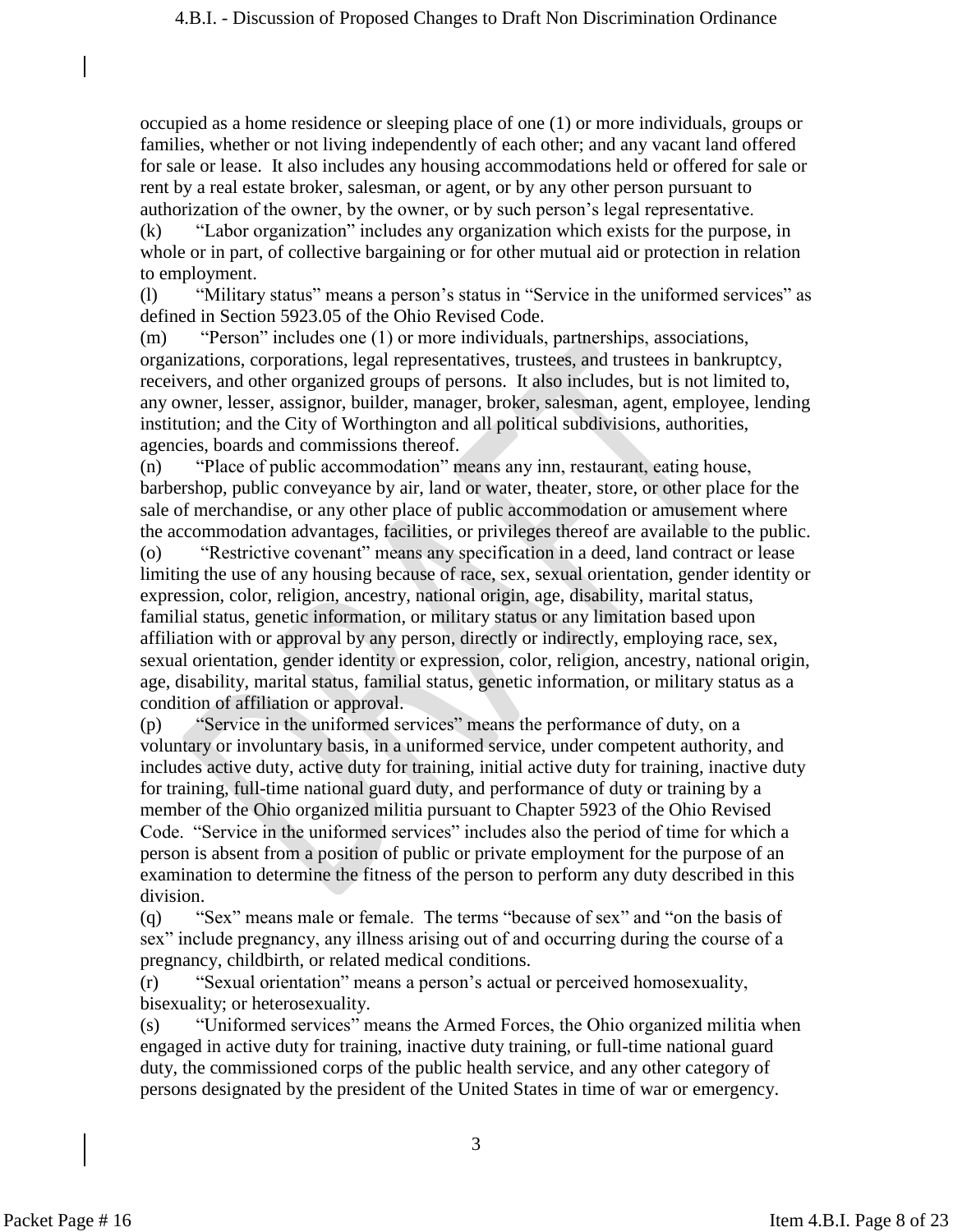occupied as a home residence or sleeping place of one (1) or more individuals, groups or families, whether or not living independently of each other; and any vacant land offered for sale or lease. It also includes any housing accommodations held or offered for sale or rent by a real estate broker, salesman, or agent, or by any other person pursuant to authorization of the owner, by the owner, or by such person's legal representative.

(k) "Labor organization" includes any organization which exists for the purpose, in whole or in part, of collective bargaining or for other mutual aid or protection in relation to employment.

(l) "Military status" means a person's status in "Service in the uniformed services" as defined in Section 5923.05 of the Ohio Revised Code.

(m) "Person" includes one (1) or more individuals, partnerships, associations, organizations, corporations, legal representatives, trustees, and trustees in bankruptcy, receivers, and other organized groups of persons. It also includes, but is not limited to, any owner, lesser, assignor, builder, manager, broker, salesman, agent, employee, lending institution; and the City of Worthington and all political subdivisions, authorities, agencies, boards and commissions thereof.

(n) "Place of public accommodation" means any inn, restaurant, eating house, barbershop, public conveyance by air, land or water, theater, store, or other place for the sale of merchandise, or any other place of public accommodation or amusement where the accommodation advantages, facilities, or privileges thereof are available to the public.

(o) "Restrictive covenant" means any specification in a deed, land contract or lease limiting the use of any housing because of race, sex, sexual orientation, gender identity or expression, color, religion, ancestry, national origin, age, disability, marital status, familial status, genetic information, or military status or any limitation based upon affiliation with or approval by any person, directly or indirectly, employing race, sex, sexual orientation, gender identity or expression, color, religion, ancestry, national origin, age, disability, marital status, familial status, genetic information, or military status as a condition of affiliation or approval.

(p) "Service in the uniformed services" means the performance of duty, on a voluntary or involuntary basis, in a uniformed service, under competent authority, and includes active duty, active duty for training, initial active duty for training, inactive duty for training, full-time national guard duty, and performance of duty or training by a member of the Ohio organized militia pursuant to Chapter 5923 of the Ohio Revised Code. "Service in the uniformed services" includes also the period of time for which a person is absent from a position of public or private employment for the purpose of an examination to determine the fitness of the person to perform any duty described in this division.

(q) "Sex" means male or female. The terms "because of sex" and "on the basis of sex" include pregnancy, any illness arising out of and occurring during the course of a pregnancy, childbirth, or related medical conditions.

(r) "Sexual orientation" means a person's actual or perceived homosexuality, bisexuality; or heterosexuality.

(s) "Uniformed services" means the Armed Forces, the Ohio organized militia when engaged in active duty for training, inactive duty training, or full-time national guard duty, the commissioned corps of the public health service, and any other category of persons designated by the president of the United States in time of war or emergency.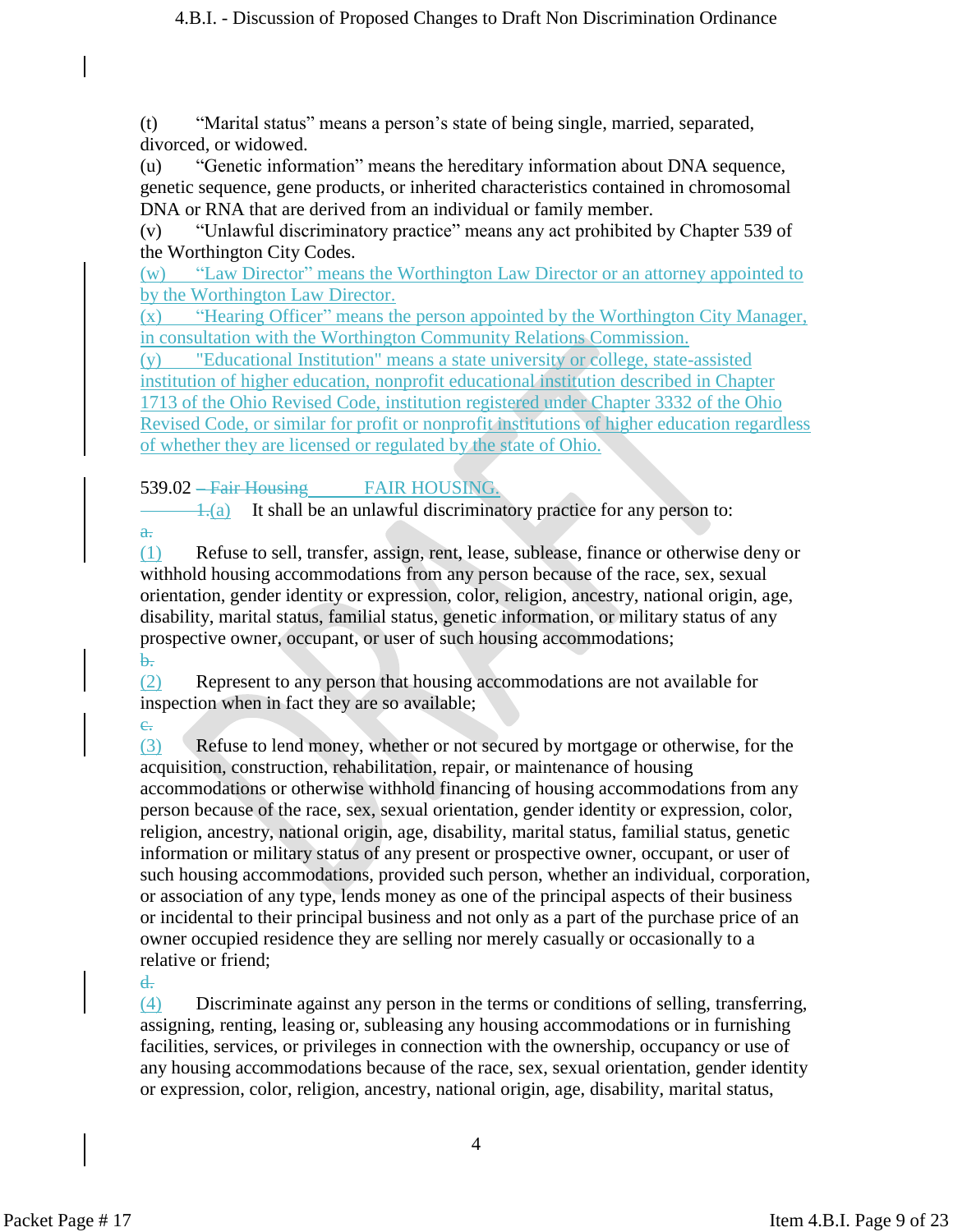(t) "Marital status" means a person's state of being single, married, separated, divorced, or widowed.

(u) "Genetic information" means the hereditary information about DNA sequence, genetic sequence, gene products, or inherited characteristics contained in chromosomal DNA or RNA that are derived from an individual or family member.

(v) "Unlawful discriminatory practice" means any act prohibited by Chapter 539 of the Worthington City Codes.

(w) "Law Director" means the Worthington Law Director or an attorney appointed to by the Worthington Law Director.

(x) "Hearing Officer" means the person appointed by the Worthington City Manager, in consultation with the Worthington Community Relations Commission.

(y) "Educational Institution" means a state university or college, state-assisted institution of higher education, nonprofit educational institution described in Chapter 1713 of the Ohio Revised Code, institution registered under Chapter 3332 of the Ohio Revised Code, or similar for profit or nonprofit institutions of higher education regardless of whether they are licensed or regulated by the state of Ohio.

539.02 – Fair Housing FAIR HOUSING.

 $\pm$ (a) It shall be an unlawful discriminatory practice for any person to:

(1) Refuse to sell, transfer, assign, rent, lease, sublease, finance or otherwise deny or withhold housing accommodations from any person because of the race, sex, sexual orientation, gender identity or expression, color, religion, ancestry, national origin, age, disability, marital status, familial status, genetic information, or military status of any prospective owner, occupant, or user of such housing accommodations; b.

(2) Represent to any person that housing accommodations are not available for inspection when in fact they are so available;

 $e<sub>r</sub>$ 

a.

(3) Refuse to lend money, whether or not secured by mortgage or otherwise, for the acquisition, construction, rehabilitation, repair, or maintenance of housing accommodations or otherwise withhold financing of housing accommodations from any person because of the race, sex, sexual orientation, gender identity or expression, color, religion, ancestry, national origin, age, disability, marital status, familial status, genetic information or military status of any present or prospective owner, occupant, or user of such housing accommodations, provided such person, whether an individual, corporation, or association of any type, lends money as one of the principal aspects of their business or incidental to their principal business and not only as a part of the purchase price of an owner occupied residence they are selling nor merely casually or occasionally to a relative or friend;

d.

(4) Discriminate against any person in the terms or conditions of selling, transferring, assigning, renting, leasing or, subleasing any housing accommodations or in furnishing facilities, services, or privileges in connection with the ownership, occupancy or use of any housing accommodations because of the race, sex, sexual orientation, gender identity or expression, color, religion, ancestry, national origin, age, disability, marital status,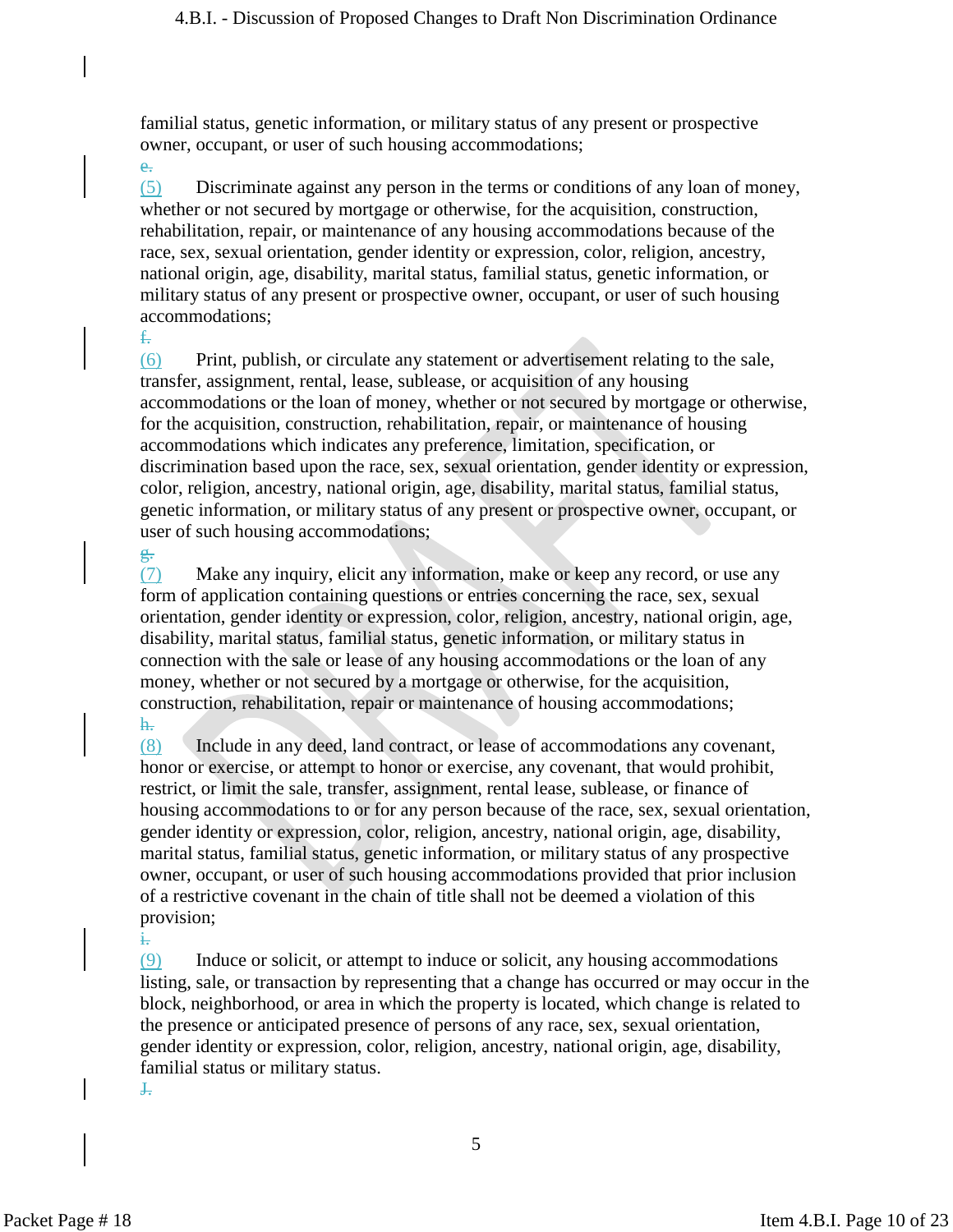familial status, genetic information, or military status of any present or prospective owner, occupant, or user of such housing accommodations;

e. (5) Discriminate against any person in the terms or conditions of any loan of money, whether or not secured by mortgage or otherwise, for the acquisition, construction, rehabilitation, repair, or maintenance of any housing accommodations because of the race, sex, sexual orientation, gender identity or expression, color, religion, ancestry, national origin, age, disability, marital status, familial status, genetic information, or military status of any present or prospective owner, occupant, or user of such housing accommodations;

(6) Print, publish, or circulate any statement or advertisement relating to the sale, transfer, assignment, rental, lease, sublease, or acquisition of any housing accommodations or the loan of money, whether or not secured by mortgage or otherwise, for the acquisition, construction, rehabilitation, repair, or maintenance of housing accommodations which indicates any preference, limitation, specification, or discrimination based upon the race, sex, sexual orientation, gender identity or expression, color, religion, ancestry, national origin, age, disability, marital status, familial status, genetic information, or military status of any present or prospective owner, occupant, or user of such housing accommodations;

(7) Make any inquiry, elicit any information, make or keep any record, or use any form of application containing questions or entries concerning the race, sex, sexual orientation, gender identity or expression, color, religion, ancestry, national origin, age, disability, marital status, familial status, genetic information, or military status in connection with the sale or lease of any housing accommodations or the loan of any money, whether or not secured by a mortgage or otherwise, for the acquisition, construction, rehabilitation, repair or maintenance of housing accommodations; h.

(8) Include in any deed, land contract, or lease of accommodations any covenant, honor or exercise, or attempt to honor or exercise, any covenant, that would prohibit, restrict, or limit the sale, transfer, assignment, rental lease, sublease, or finance of housing accommodations to or for any person because of the race, sex, sexual orientation, gender identity or expression, color, religion, ancestry, national origin, age, disability, marital status, familial status, genetic information, or military status of any prospective owner, occupant, or user of such housing accommodations provided that prior inclusion of a restrictive covenant in the chain of title shall not be deemed a violation of this provision;

 $(9)$  Induce or solicit, or attempt to induce or solicit, any housing accommodations listing, sale, or transaction by representing that a change has occurred or may occur in the block, neighborhood, or area in which the property is located, which change is related to the presence or anticipated presence of persons of any race, sex, sexual orientation, gender identity or expression, color, religion, ancestry, national origin, age, disability, familial status or military status.  $\ddot{ }$ 

i.

f.

g.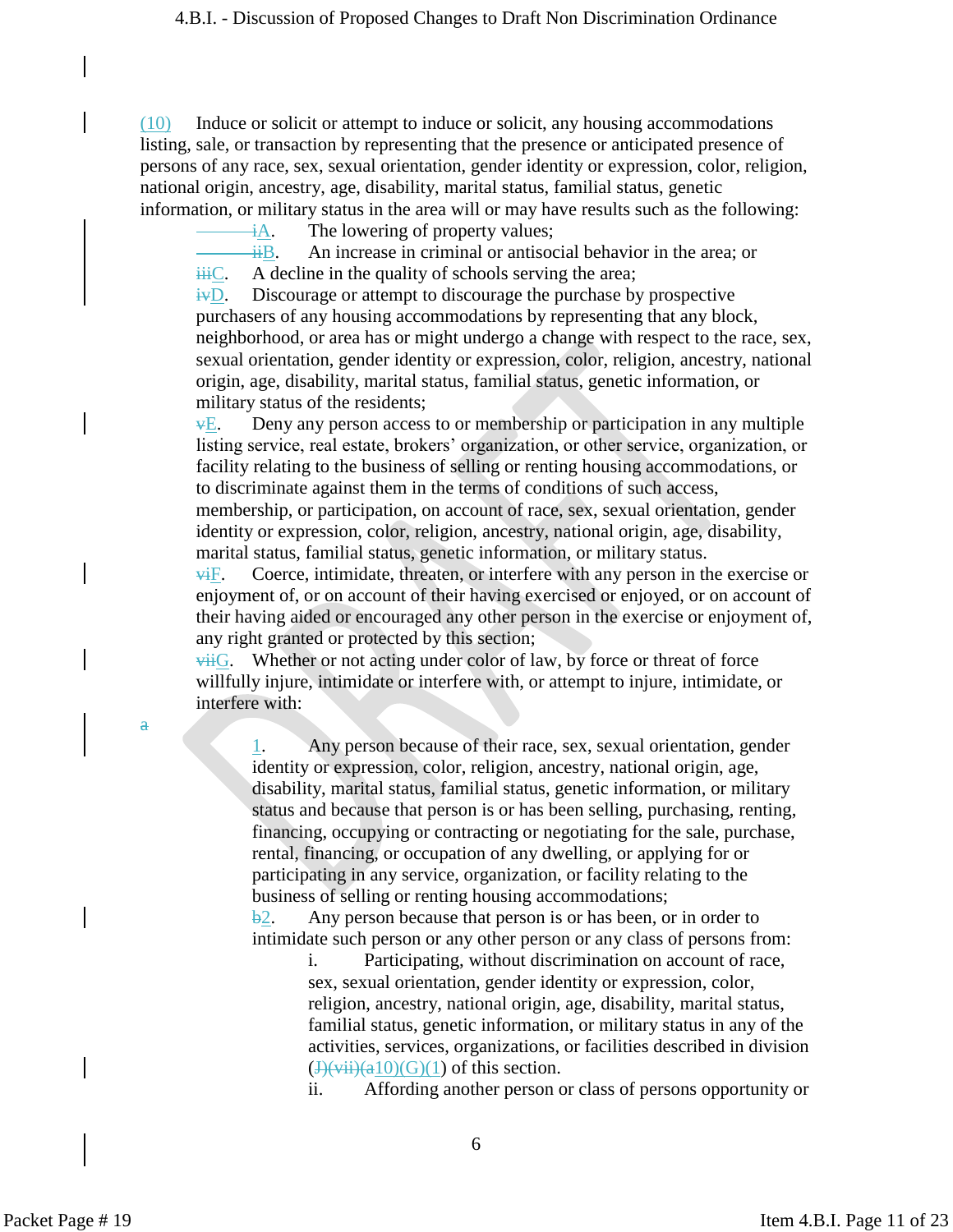(10) Induce or solicit or attempt to induce or solicit, any housing accommodations listing, sale, or transaction by representing that the presence or anticipated presence of persons of any race, sex, sexual orientation, gender identity or expression, color, religion, national origin, ancestry, age, disability, marital status, familial status, genetic information, or military status in the area will or may have results such as the following:

 $\frac{dA}{dA}$ . The lowering of property values;

 $\frac{1}{10}$ . An increase in criminal or antisocial behavior in the area; or  $\frac{1}{111}C$ . A decline in the quality of schools serving the area;

 $\frac{uv}{iv}$ . Discourage or attempt to discourage the purchase by prospective purchasers of any housing accommodations by representing that any block, neighborhood, or area has or might undergo a change with respect to the race, sex, sexual orientation, gender identity or expression, color, religion, ancestry, national origin, age, disability, marital status, familial status, genetic information, or military status of the residents;

 $\overline{vE}$ . Deny any person access to or membership or participation in any multiple listing service, real estate, brokers' organization, or other service, organization, or facility relating to the business of selling or renting housing accommodations, or to discriminate against them in the terms of conditions of such access,

membership, or participation, on account of race, sex, sexual orientation, gender identity or expression, color, religion, ancestry, national origin, age, disability, marital status, familial status, genetic information, or military status.

 $\overline{\text{w}}$ F. Coerce, intimidate, threaten, or interfere with any person in the exercise or enjoyment of, or on account of their having exercised or enjoyed, or on account of their having aided or encouraged any other person in the exercise or enjoyment of, any right granted or protected by this section;

 $\overline{\text{viiG}}$ . Whether or not acting under color of law, by force or threat of force willfully injure, intimidate or interfere with, or attempt to injure, intimidate, or interfere with:

a

1. Any person because of their race, sex, sexual orientation, gender identity or expression, color, religion, ancestry, national origin, age, disability, marital status, familial status, genetic information, or military status and because that person is or has been selling, purchasing, renting, financing, occupying or contracting or negotiating for the sale, purchase, rental, financing, or occupation of any dwelling, or applying for or participating in any service, organization, or facility relating to the business of selling or renting housing accommodations;

 $\frac{b}{2}$ . Any person because that person is or has been, or in order to intimidate such person or any other person or any class of persons from:

> i. Participating, without discrimination on account of race, sex, sexual orientation, gender identity or expression, color, religion, ancestry, national origin, age, disability, marital status, familial status, genetic information, or military status in any of the activities, services, organizations, or facilities described in division  $\left(\frac{J\left(\text{vii}\right)(a10)}{G}\right)(1)$  of this section.

> ii. Affording another person or class of persons opportunity or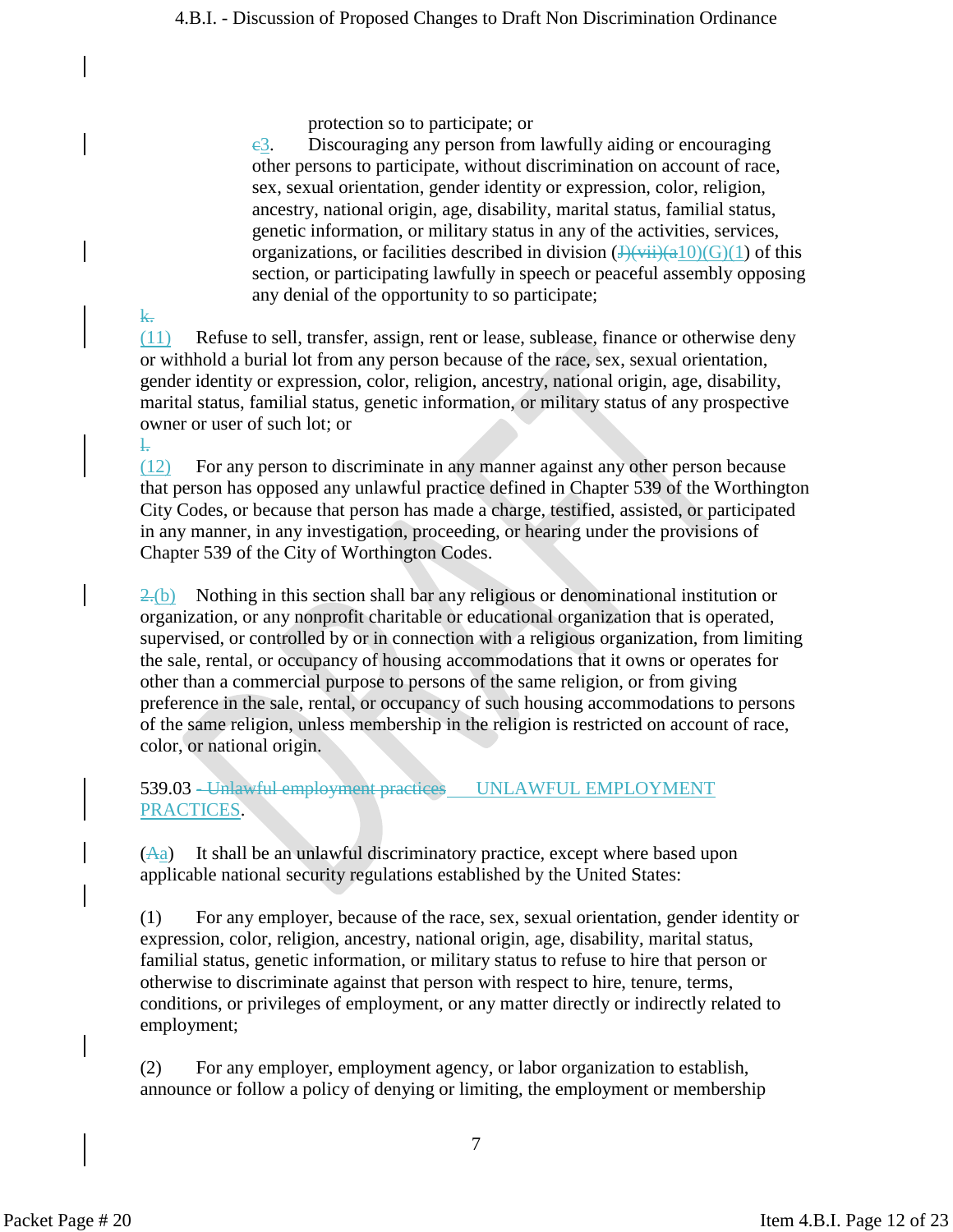protection so to participate; or

 $e_3$ . Discouraging any person from lawfully aiding or encouraging other persons to participate, without discrimination on account of race, sex, sexual orientation, gender identity or expression, color, religion, ancestry, national origin, age, disability, marital status, familial status, genetic information, or military status in any of the activities, services, organizations, or facilities described in division  $(\frac{H(x_i)}{H(x_i)}(a_1)(G)(1)$  of this section, or participating lawfully in speech or peaceful assembly opposing any denial of the opportunity to so participate;

(11) Refuse to sell, transfer, assign, rent or lease, sublease, finance or otherwise deny or withhold a burial lot from any person because of the race, sex, sexual orientation, gender identity or expression, color, religion, ancestry, national origin, age, disability, marital status, familial status, genetic information, or military status of any prospective owner or user of such lot; or l.

(12) For any person to discriminate in any manner against any other person because that person has opposed any unlawful practice defined in Chapter 539 of the Worthington City Codes, or because that person has made a charge, testified, assisted, or participated in any manner, in any investigation, proceeding, or hearing under the provisions of Chapter 539 of the City of Worthington Codes.

 $2.6$ ) Nothing in this section shall bar any religious or denominational institution or organization, or any nonprofit charitable or educational organization that is operated, supervised, or controlled by or in connection with a religious organization, from limiting the sale, rental, or occupancy of housing accommodations that it owns or operates for other than a commercial purpose to persons of the same religion, or from giving preference in the sale, rental, or occupancy of such housing accommodations to persons of the same religion, unless membership in the religion is restricted on account of race, color, or national origin.

539.03 - Unlawful employment practices UNLAWFUL EMPLOYMENT PRACTICES.

 $(A<sub>a</sub>)$  It shall be an unlawful discriminatory practice, except where based upon applicable national security regulations established by the United States:

(1) For any employer, because of the race, sex, sexual orientation, gender identity or expression, color, religion, ancestry, national origin, age, disability, marital status, familial status, genetic information, or military status to refuse to hire that person or otherwise to discriminate against that person with respect to hire, tenure, terms, conditions, or privileges of employment, or any matter directly or indirectly related to employment;

(2) For any employer, employment agency, or labor organization to establish, announce or follow a policy of denying or limiting, the employment or membership

k.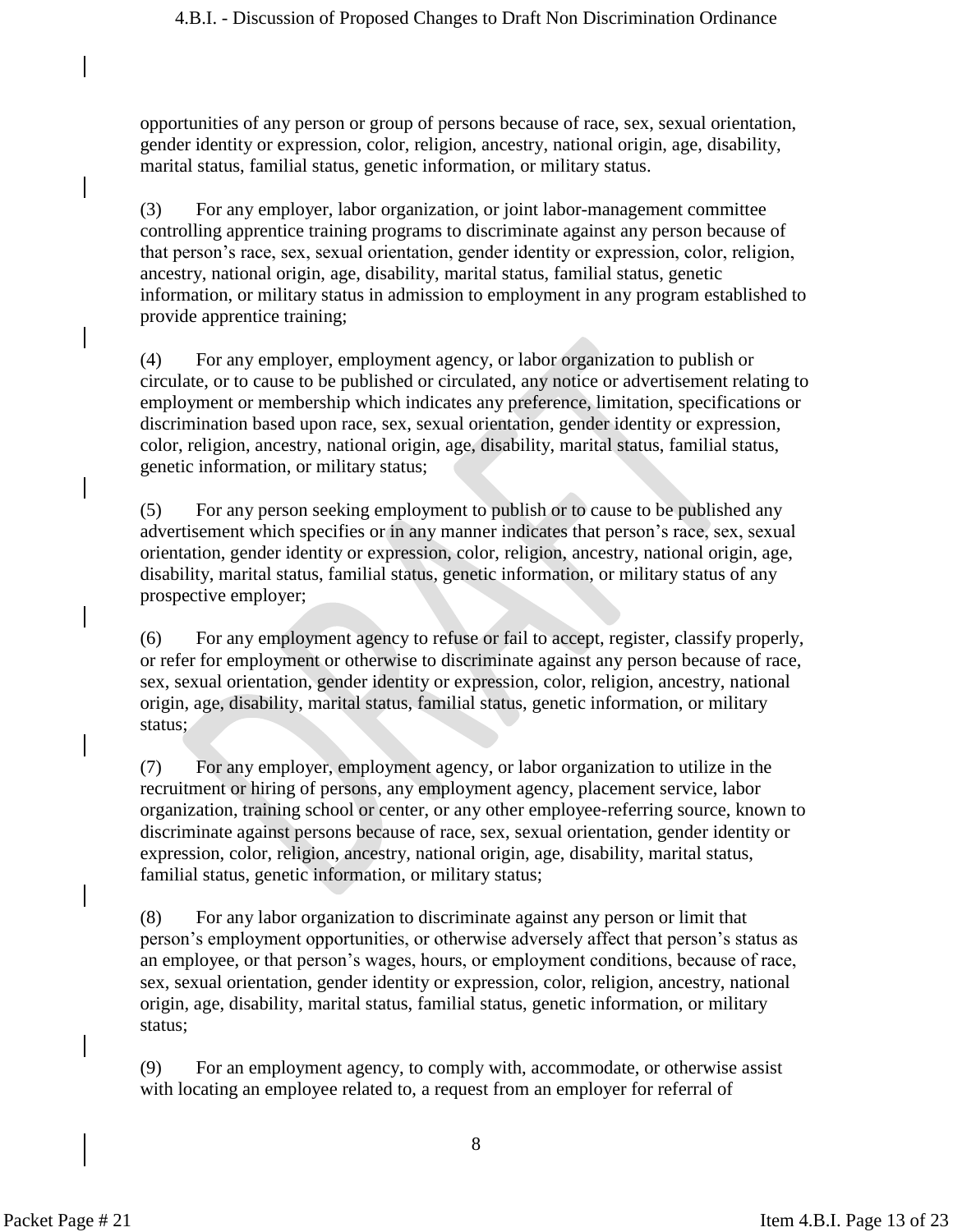opportunities of any person or group of persons because of race, sex, sexual orientation, gender identity or expression, color, religion, ancestry, national origin, age, disability, marital status, familial status, genetic information, or military status.

(3) For any employer, labor organization, or joint labor-management committee controlling apprentice training programs to discriminate against any person because of that person's race, sex, sexual orientation, gender identity or expression, color, religion, ancestry, national origin, age, disability, marital status, familial status, genetic information, or military status in admission to employment in any program established to provide apprentice training;

(4) For any employer, employment agency, or labor organization to publish or circulate, or to cause to be published or circulated, any notice or advertisement relating to employment or membership which indicates any preference, limitation, specifications or discrimination based upon race, sex, sexual orientation, gender identity or expression, color, religion, ancestry, national origin, age, disability, marital status, familial status, genetic information, or military status;

(5) For any person seeking employment to publish or to cause to be published any advertisement which specifies or in any manner indicates that person's race, sex, sexual orientation, gender identity or expression, color, religion, ancestry, national origin, age, disability, marital status, familial status, genetic information, or military status of any prospective employer;

(6) For any employment agency to refuse or fail to accept, register, classify properly, or refer for employment or otherwise to discriminate against any person because of race, sex, sexual orientation, gender identity or expression, color, religion, ancestry, national origin, age, disability, marital status, familial status, genetic information, or military status;

(7) For any employer, employment agency, or labor organization to utilize in the recruitment or hiring of persons, any employment agency, placement service, labor organization, training school or center, or any other employee-referring source, known to discriminate against persons because of race, sex, sexual orientation, gender identity or expression, color, religion, ancestry, national origin, age, disability, marital status, familial status, genetic information, or military status;

(8) For any labor organization to discriminate against any person or limit that person's employment opportunities, or otherwise adversely affect that person's status as an employee, or that person's wages, hours, or employment conditions, because of race, sex, sexual orientation, gender identity or expression, color, religion, ancestry, national origin, age, disability, marital status, familial status, genetic information, or military status;

(9) For an employment agency, to comply with, accommodate, or otherwise assist with locating an employee related to, a request from an employer for referral of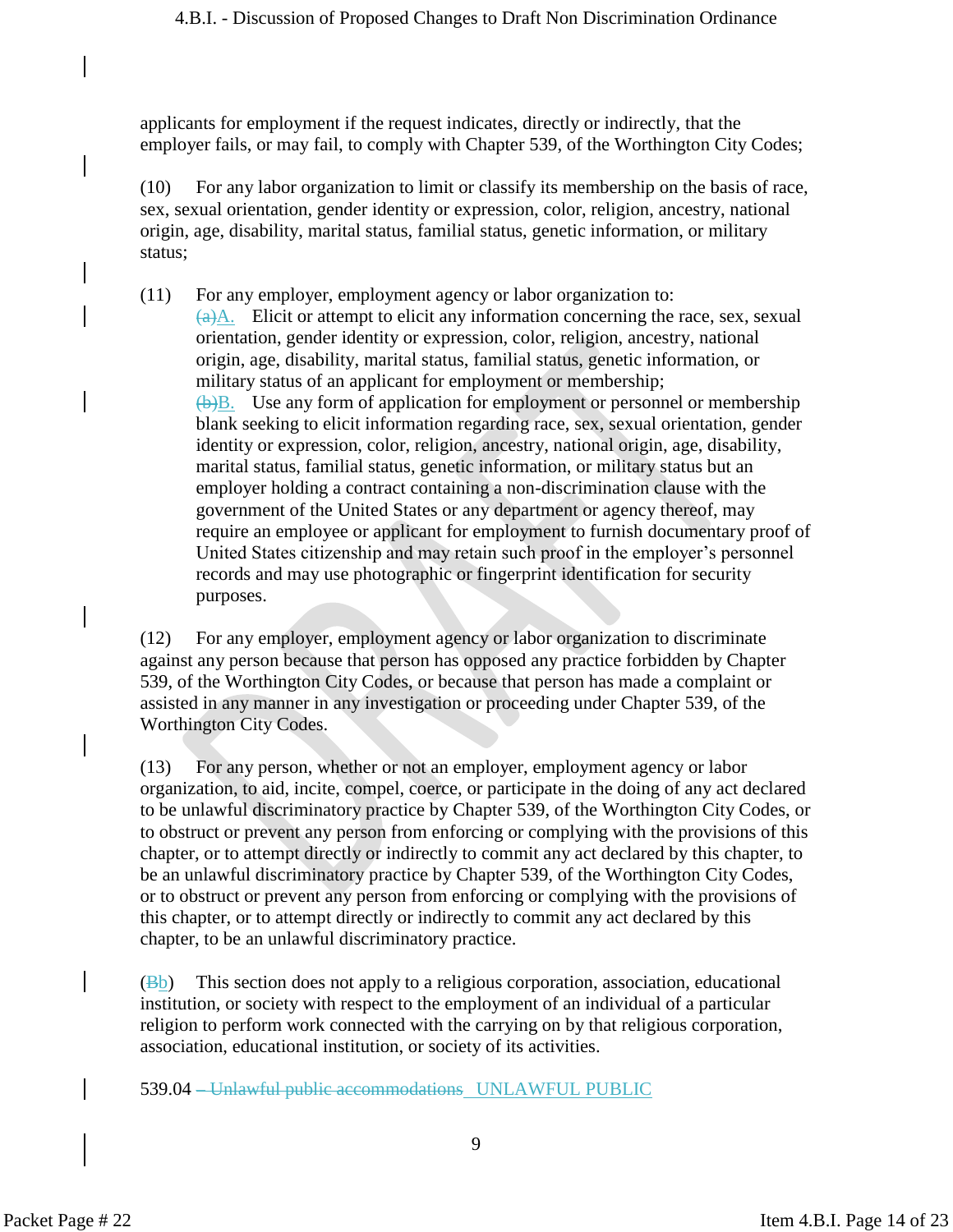applicants for employment if the request indicates, directly or indirectly, that the employer fails, or may fail, to comply with Chapter 539, of the Worthington City Codes;

(10) For any labor organization to limit or classify its membership on the basis of race, sex, sexual orientation, gender identity or expression, color, religion, ancestry, national origin, age, disability, marital status, familial status, genetic information, or military status;

(11) For any employer, employment agency or labor organization to:  $(a)$ A. Elicit or attempt to elicit any information concerning the race, sex, sexual orientation, gender identity or expression, color, religion, ancestry, national origin, age, disability, marital status, familial status, genetic information, or military status of an applicant for employment or membership;  $\overline{(b)}B$ . Use any form of application for employment or personnel or membership blank seeking to elicit information regarding race, sex, sexual orientation, gender identity or expression, color, religion, ancestry, national origin, age, disability, marital status, familial status, genetic information, or military status but an employer holding a contract containing a non-discrimination clause with the government of the United States or any department or agency thereof, may require an employee or applicant for employment to furnish documentary proof of United States citizenship and may retain such proof in the employer's personnel records and may use photographic or fingerprint identification for security purposes.

(12) For any employer, employment agency or labor organization to discriminate against any person because that person has opposed any practice forbidden by Chapter 539, of the Worthington City Codes, or because that person has made a complaint or assisted in any manner in any investigation or proceeding under Chapter 539, of the Worthington City Codes.

(13) For any person, whether or not an employer, employment agency or labor organization, to aid, incite, compel, coerce, or participate in the doing of any act declared to be unlawful discriminatory practice by Chapter 539, of the Worthington City Codes, or to obstruct or prevent any person from enforcing or complying with the provisions of this chapter, or to attempt directly or indirectly to commit any act declared by this chapter, to be an unlawful discriminatory practice by Chapter 539, of the Worthington City Codes, or to obstruct or prevent any person from enforcing or complying with the provisions of this chapter, or to attempt directly or indirectly to commit any act declared by this chapter, to be an unlawful discriminatory practice.

 $(\mathbb{B}_b)$  This section does not apply to a religious corporation, association, educational institution, or society with respect to the employment of an individual of a particular religion to perform work connected with the carrying on by that religious corporation, association, educational institution, or society of its activities.

539.04 – Unlawful public accommodations UNLAWFUL PUBLIC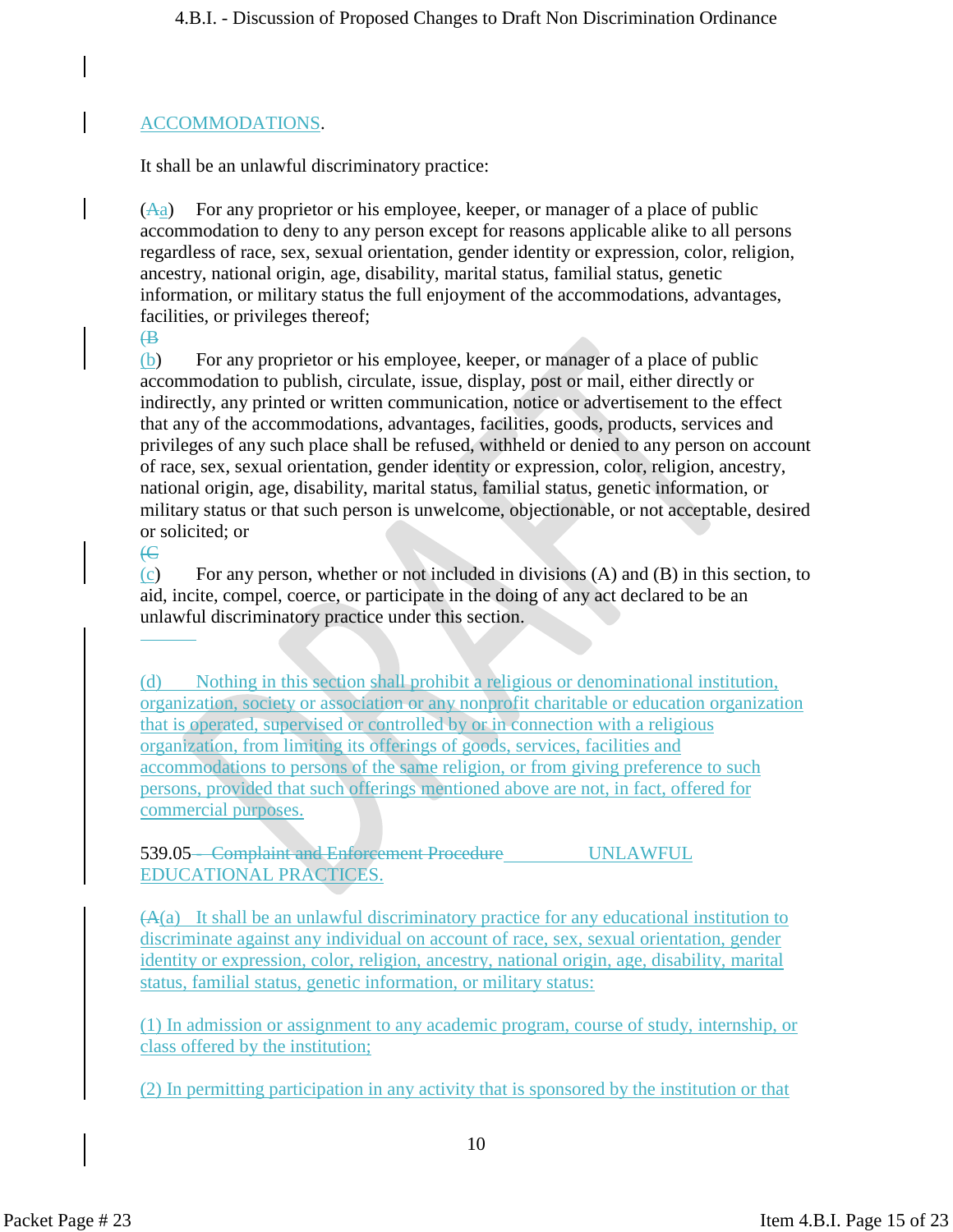#### ACCOMMODATIONS.

It shall be an unlawful discriminatory practice:

 $(A<sub>a</sub>)$  For any proprietor or his employee, keeper, or manager of a place of public accommodation to deny to any person except for reasons applicable alike to all persons regardless of race, sex, sexual orientation, gender identity or expression, color, religion, ancestry, national origin, age, disability, marital status, familial status, genetic information, or military status the full enjoyment of the accommodations, advantages, facilities, or privileges thereof;

 $\oplus$ 

(b) For any proprietor or his employee, keeper, or manager of a place of public accommodation to publish, circulate, issue, display, post or mail, either directly or indirectly, any printed or written communication, notice or advertisement to the effect that any of the accommodations, advantages, facilities, goods, products, services and privileges of any such place shall be refused, withheld or denied to any person on account of race, sex, sexual orientation, gender identity or expression, color, religion, ancestry, national origin, age, disability, marital status, familial status, genetic information, or military status or that such person is unwelcome, objectionable, or not acceptable, desired or solicited; or

 $\overline{C}$ 

(c) For any person, whether or not included in divisions (A) and (B) in this section, to aid, incite, compel, coerce, or participate in the doing of any act declared to be an unlawful discriminatory practice under this section.

(d) Nothing in this section shall prohibit a religious or denominational institution, organization, society or association or any nonprofit charitable or education organization that is operated, supervised or controlled by or in connection with a religious organization, from limiting its offerings of goods, services, facilities and accommodations to persons of the same religion, or from giving preference to such persons, provided that such offerings mentioned above are not, in fact, offered for commercial purposes.

539.05 - Complaint and Enforcement Procedure UNLAWFUL EDUCATIONAL PRACTICES.

(A(a) It shall be an unlawful discriminatory practice for any educational institution to discriminate against any individual on account of race, sex, sexual orientation, gender identity or expression, color, religion, ancestry, national origin, age, disability, marital status, familial status, genetic information, or military status:

(1) In admission or assignment to any academic program, course of study, internship, or class offered by the institution;

(2) In permitting participation in any activity that is sponsored by the institution or that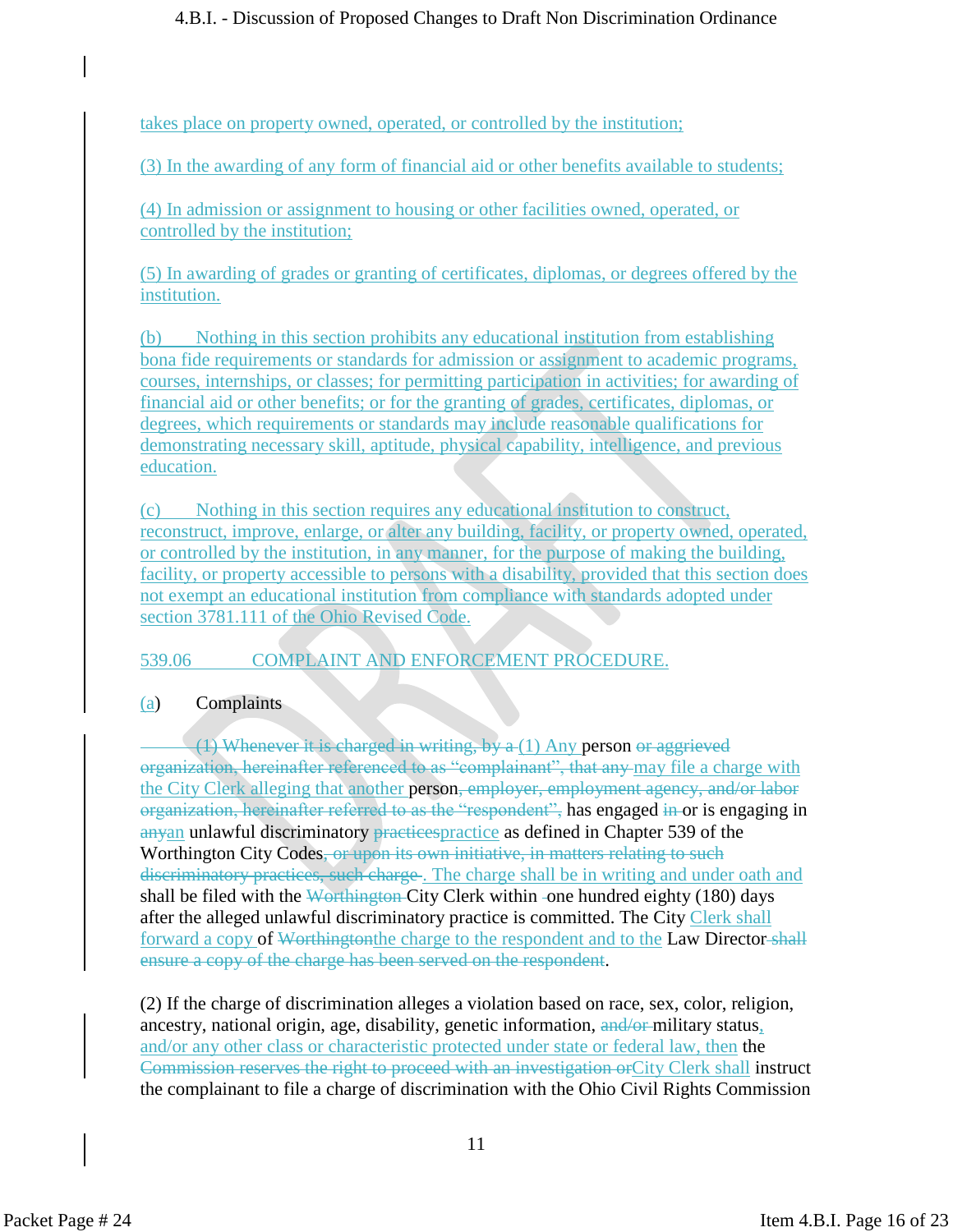takes place on property owned, operated, or controlled by the institution;

(3) In the awarding of any form of financial aid or other benefits available to students;

(4) In admission or assignment to housing or other facilities owned, operated, or controlled by the institution;

(5) In awarding of grades or granting of certificates, diplomas, or degrees offered by the institution.

(b) Nothing in this section prohibits any educational institution from establishing bona fide requirements or standards for admission or assignment to academic programs, courses, internships, or classes; for permitting participation in activities; for awarding of financial aid or other benefits; or for the granting of grades, certificates, diplomas, or degrees, which requirements or standards may include reasonable qualifications for demonstrating necessary skill, aptitude, physical capability, intelligence, and previous education.

(c) Nothing in this section requires any educational institution to construct, reconstruct, improve, enlarge, or alter any building, facility, or property owned, operated, or controlled by the institution, in any manner, for the purpose of making the building, facility, or property accessible to persons with a disability, provided that this section does not exempt an educational institution from compliance with standards adopted under section 3781.111 of the Ohio Revised Code.

# 539.06 COMPLAINT AND ENFORCEMENT PROCEDURE.

(a) Complaints

 $(1)$  Whenever it is charged in writing, by  $a(1)$  Any person or aggrieved organization, hereinafter referenced to as "complainant", that any may file a charge with the City Clerk alleging that another person, employer, employment agency, and/or labor organization, hereinafter referred to as the "respondent", has engaged in or is engaging in anyan unlawful discriminatory practices practice as defined in Chapter 539 of the Worthington City Codes, or upon its own initiative, in matters relating to such discriminatory practices, such charge. The charge shall be in writing and under oath and shall be filed with the Worthington-City Clerk within -one hundred eighty  $(180)$  days after the alleged unlawful discriminatory practice is committed. The City Clerk shall forward a copy of Worthington the charge to the respondent and to the Law Director-shall ensure a copy of the charge has been served on the respondent.

(2) If the charge of discrimination alleges a violation based on race, sex, color, religion, ancestry, national origin, age, disability, genetic information, and/or military status, and/or any other class or characteristic protected under state or federal law, then the Commission reserves the right to proceed with an investigation orCity Clerk shall instruct the complainant to file a charge of discrimination with the Ohio Civil Rights Commission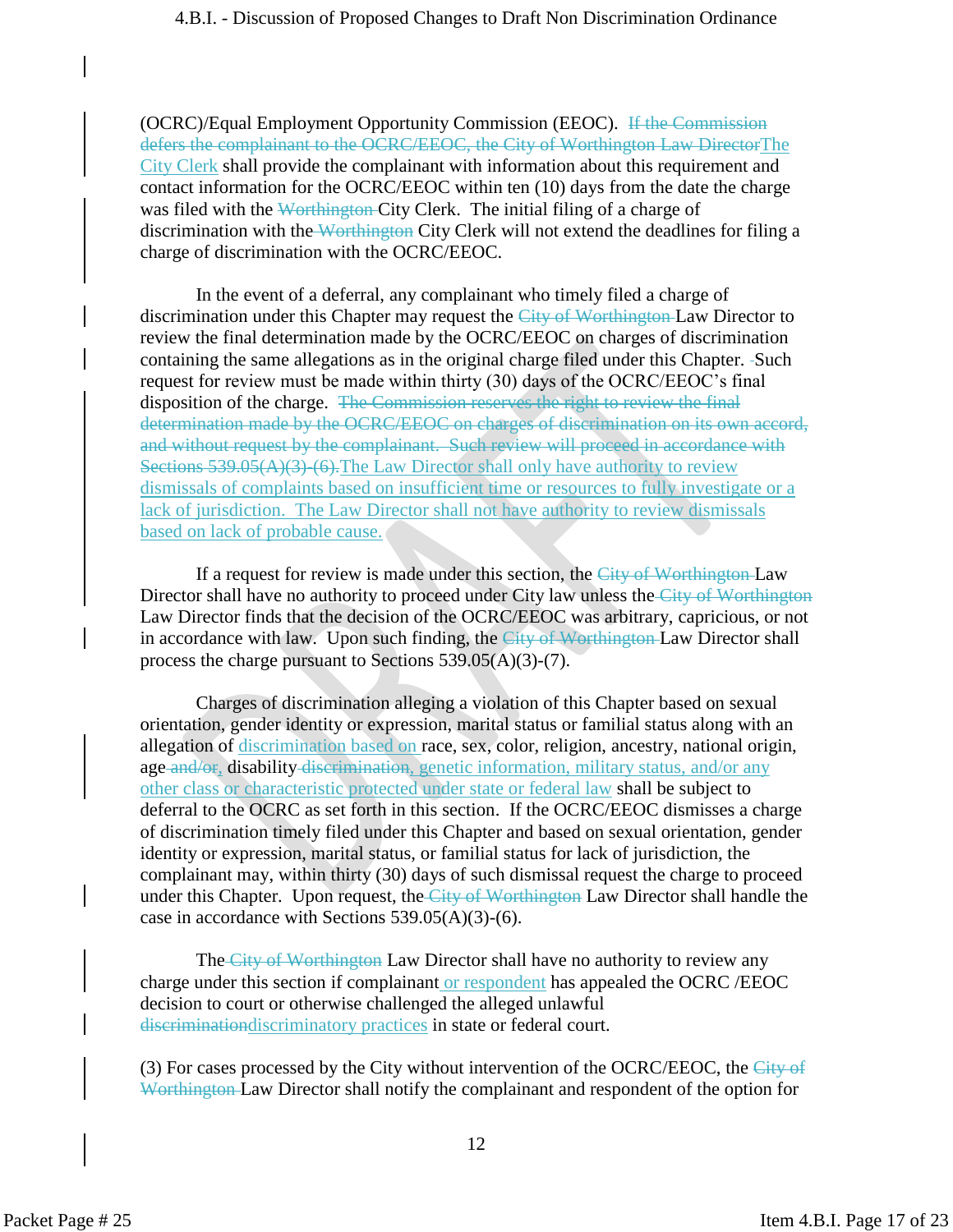(OCRC)/Equal Employment Opportunity Commission (EEOC). If the Commission defers the complainant to the OCRC/EEOC, the City of Worthington Law DirectorThe City Clerk shall provide the complainant with information about this requirement and contact information for the OCRC/EEOC within ten (10) days from the date the charge was filed with the Worthington-City Clerk. The initial filing of a charge of discrimination with the Worthington City Clerk will not extend the deadlines for filing a charge of discrimination with the OCRC/EEOC.

In the event of a deferral, any complainant who timely filed a charge of discrimination under this Chapter may request the City of Worthington-Law Director to review the final determination made by the OCRC/EEOC on charges of discrimination containing the same allegations as in the original charge filed under this Chapter. -Such request for review must be made within thirty (30) days of the OCRC/EEOC's final disposition of the charge. The Commission reserves the right to review the final determination made by the OCRC/EEOC on charges of discrimination on its own accord, and without request by the complainant. Such review will proceed in accordance with Sections  $539.05(A)(3)$ -(6). The Law Director shall only have authority to review dismissals of complaints based on insufficient time or resources to fully investigate or a lack of jurisdiction. The Law Director shall not have authority to review dismissals based on lack of probable cause.

If a request for review is made under this section, the City of Worthington-Law Director shall have no authority to proceed under City law unless the City of Worthington Law Director finds that the decision of the OCRC/EEOC was arbitrary, capricious, or not in accordance with law. Upon such finding, the City of Worthington Law Director shall process the charge pursuant to Sections 539.05(A)(3)-(7).

Charges of discrimination alleging a violation of this Chapter based on sexual orientation, gender identity or expression, marital status or familial status along with an allegation of discrimination based on race, sex, color, religion, ancestry, national origin, age and/or, disability discrimination, genetic information, military status, and/or any other class or characteristic protected under state or federal law shall be subject to deferral to the OCRC as set forth in this section. If the OCRC/EEOC dismisses a charge of discrimination timely filed under this Chapter and based on sexual orientation, gender identity or expression, marital status, or familial status for lack of jurisdiction, the complainant may, within thirty (30) days of such dismissal request the charge to proceed under this Chapter. Upon request, the City of Worthington Law Director shall handle the case in accordance with Sections 539.05(A)(3)-(6).

The City of Worthington Law Director shall have no authority to review any charge under this section if complainant or respondent has appealed the OCRC /EEOC decision to court or otherwise challenged the alleged unlawful discriminationdiscriminatory practices in state or federal court.

(3) For cases processed by the City without intervention of the OCRC/EEOC, the City of Worthington Law Director shall notify the complainant and respondent of the option for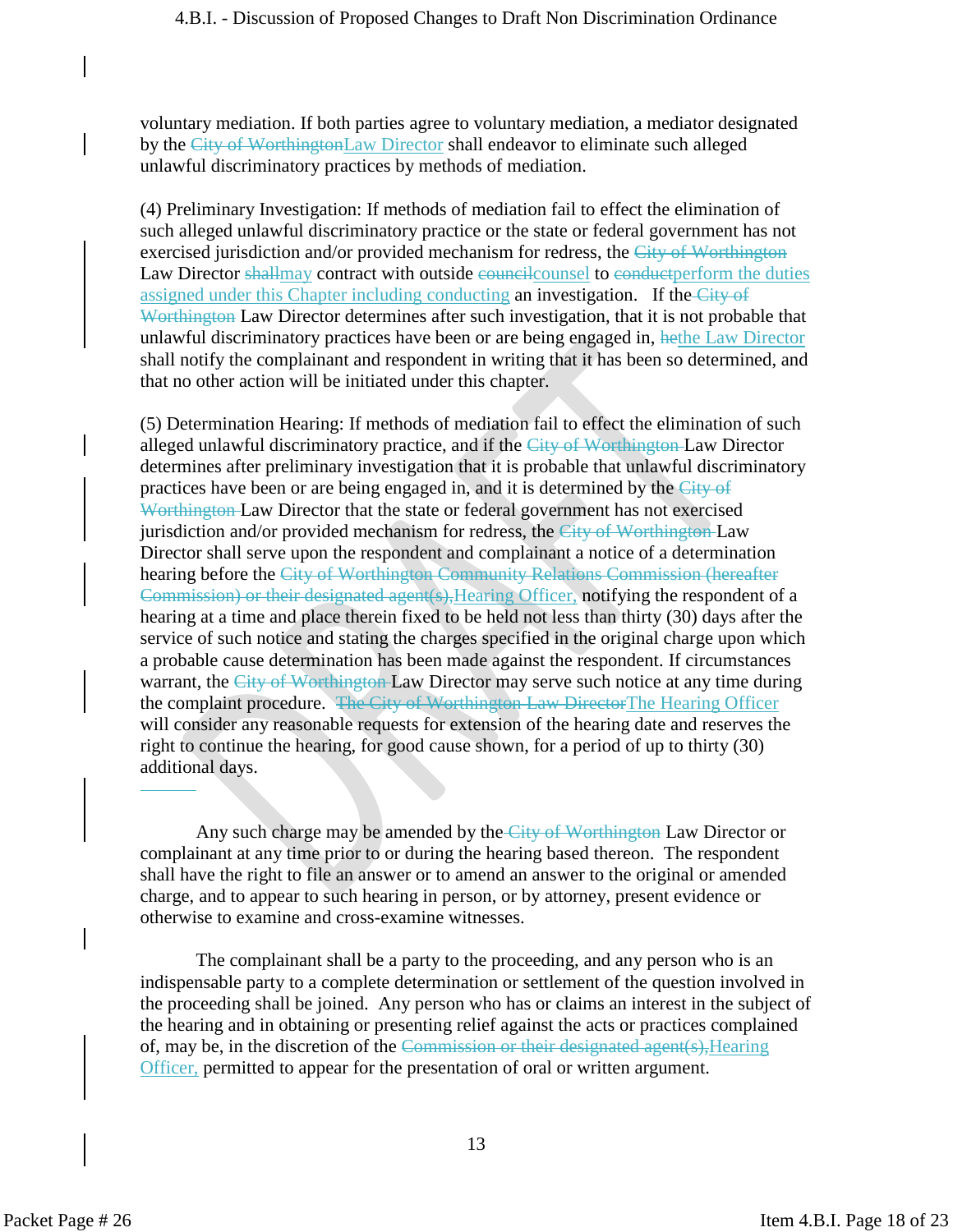voluntary mediation. If both parties agree to voluntary mediation, a mediator designated by the City of WorthingtonLaw Director shall endeavor to eliminate such alleged unlawful discriminatory practices by methods of mediation.

(4) Preliminary Investigation: If methods of mediation fail to effect the elimination of such alleged unlawful discriminatory practice or the state or federal government has not exercised jurisdiction and/or provided mechanism for redress, the City of Worthington Law Director shallmay contract with outside councilcounsel to conductperform the duties assigned under this Chapter including conducting an investigation. If the City of Worthington Law Director determines after such investigation, that it is not probable that unlawful discriminatory practices have been or are being engaged in, hethe Law Director shall notify the complainant and respondent in writing that it has been so determined, and that no other action will be initiated under this chapter.

(5) Determination Hearing: If methods of mediation fail to effect the elimination of such alleged unlawful discriminatory practice, and if the City of Worthington Law Director determines after preliminary investigation that it is probable that unlawful discriminatory practices have been or are being engaged in, and it is determined by the City of Worthington Law Director that the state or federal government has not exercised jurisdiction and/or provided mechanism for redress, the City of Worthington-Law Director shall serve upon the respondent and complainant a notice of a determination hearing before the City of Worthington Community Relations Commission (hereafter Commission) or their designated agent(s), Hearing Officer, notifying the respondent of a hearing at a time and place therein fixed to be held not less than thirty (30) days after the service of such notice and stating the charges specified in the original charge upon which a probable cause determination has been made against the respondent. If circumstances warrant, the City of Worthington Law Director may serve such notice at any time during the complaint procedure. The City of Worthington Law DirectorThe Hearing Officer will consider any reasonable requests for extension of the hearing date and reserves the right to continue the hearing, for good cause shown, for a period of up to thirty (30) additional days.

Any such charge may be amended by the City of Worthington Law Director or complainant at any time prior to or during the hearing based thereon. The respondent shall have the right to file an answer or to amend an answer to the original or amended charge, and to appear to such hearing in person, or by attorney, present evidence or otherwise to examine and cross-examine witnesses.

The complainant shall be a party to the proceeding, and any person who is an indispensable party to a complete determination or settlement of the question involved in the proceeding shall be joined. Any person who has or claims an interest in the subject of the hearing and in obtaining or presenting relief against the acts or practices complained of, may be, in the discretion of the Commission or their designated agent(s),Hearing Officer, permitted to appear for the presentation of oral or written argument.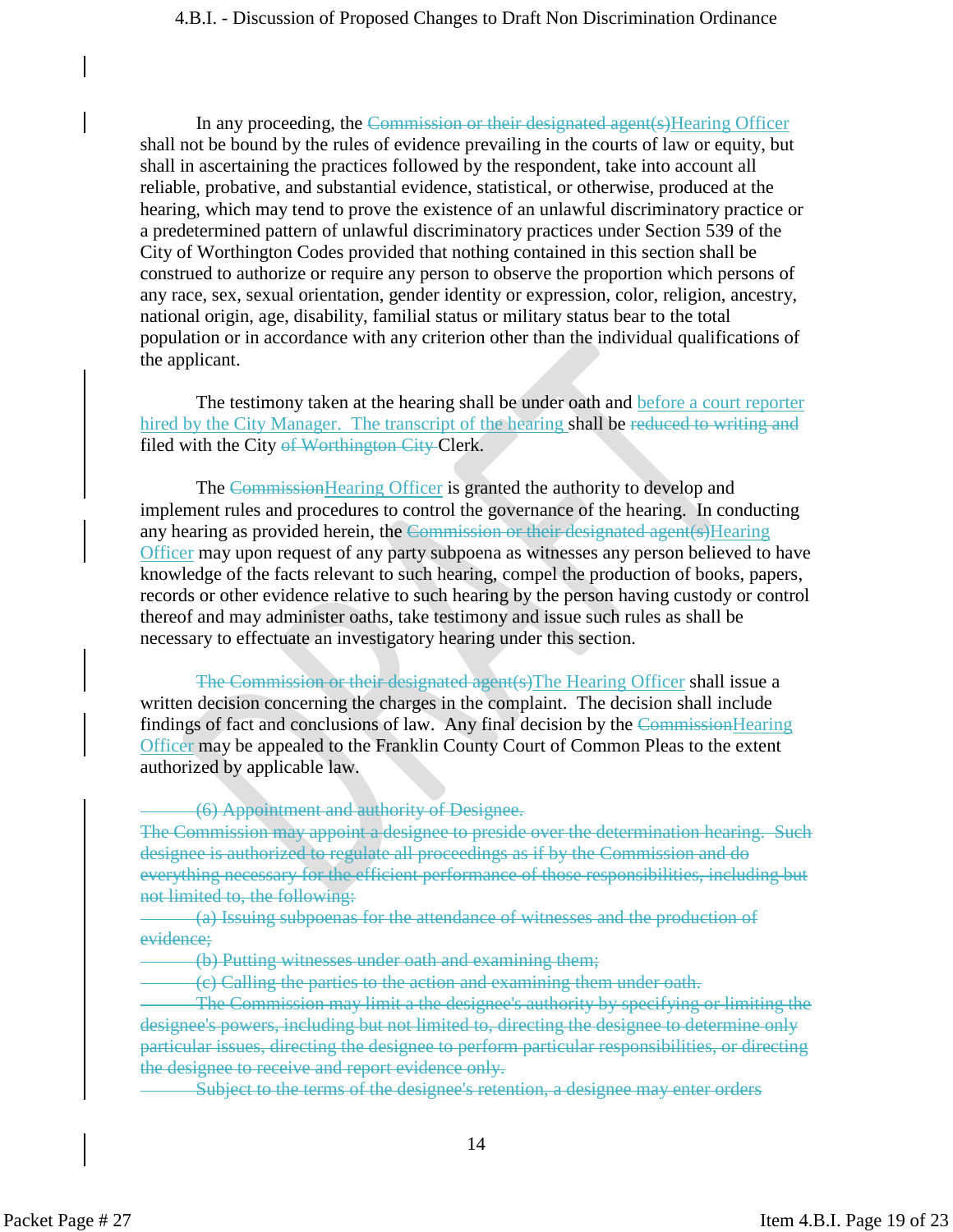In any proceeding, the Commission or their designated agent(s) Hearing Officer shall not be bound by the rules of evidence prevailing in the courts of law or equity, but shall in ascertaining the practices followed by the respondent, take into account all reliable, probative, and substantial evidence, statistical, or otherwise, produced at the hearing, which may tend to prove the existence of an unlawful discriminatory practice or a predetermined pattern of unlawful discriminatory practices under Section 539 of the City of Worthington Codes provided that nothing contained in this section shall be construed to authorize or require any person to observe the proportion which persons of any race, sex, sexual orientation, gender identity or expression, color, religion, ancestry, national origin, age, disability, familial status or military status bear to the total population or in accordance with any criterion other than the individual qualifications of the applicant.

The testimony taken at the hearing shall be under oath and before a court reporter hired by the City Manager. The transcript of the hearing shall be reduced to writing and filed with the City of Worthington City Clerk.

The Commission Hearing Officer is granted the authority to develop and implement rules and procedures to control the governance of the hearing. In conducting any hearing as provided herein, the Commission or their designated agent(s) Hearing Officer may upon request of any party subpoena as witnesses any person believed to have knowledge of the facts relevant to such hearing, compel the production of books, papers, records or other evidence relative to such hearing by the person having custody or control thereof and may administer oaths, take testimony and issue such rules as shall be necessary to effectuate an investigatory hearing under this section.

The Commission or their designated agent(s)The Hearing Officer shall issue a written decision concerning the charges in the complaint. The decision shall include findings of fact and conclusions of law. Any final decision by the CommissionHearing **Officer** may be appealed to the Franklin County Court of Common Pleas to the extent authorized by applicable law.

#### (6) Appointment and authority of Designee.

The Commission may appoint a designee to preside over the determination hearing. Such designee is authorized to regulate all proceedings as if by the Commission and do everything necessary for the efficient performance of those responsibilities, including but not limited to, the following:

(a) Issuing subpoenas for the attendance of witnesses and the production of evidence;

(b) Putting witnesses under oath and examining them;

(c) Calling the parties to the action and examining them under oath.

The Commission may limit a the designee's authority by specifying or limiting the designee's powers, including but not limited to, directing the designee to determine only particular issues, directing the designee to perform particular responsibilities, or directing the designee to receive and report evidence only.

Subject to the terms of the designee's retention, a designee may enter orders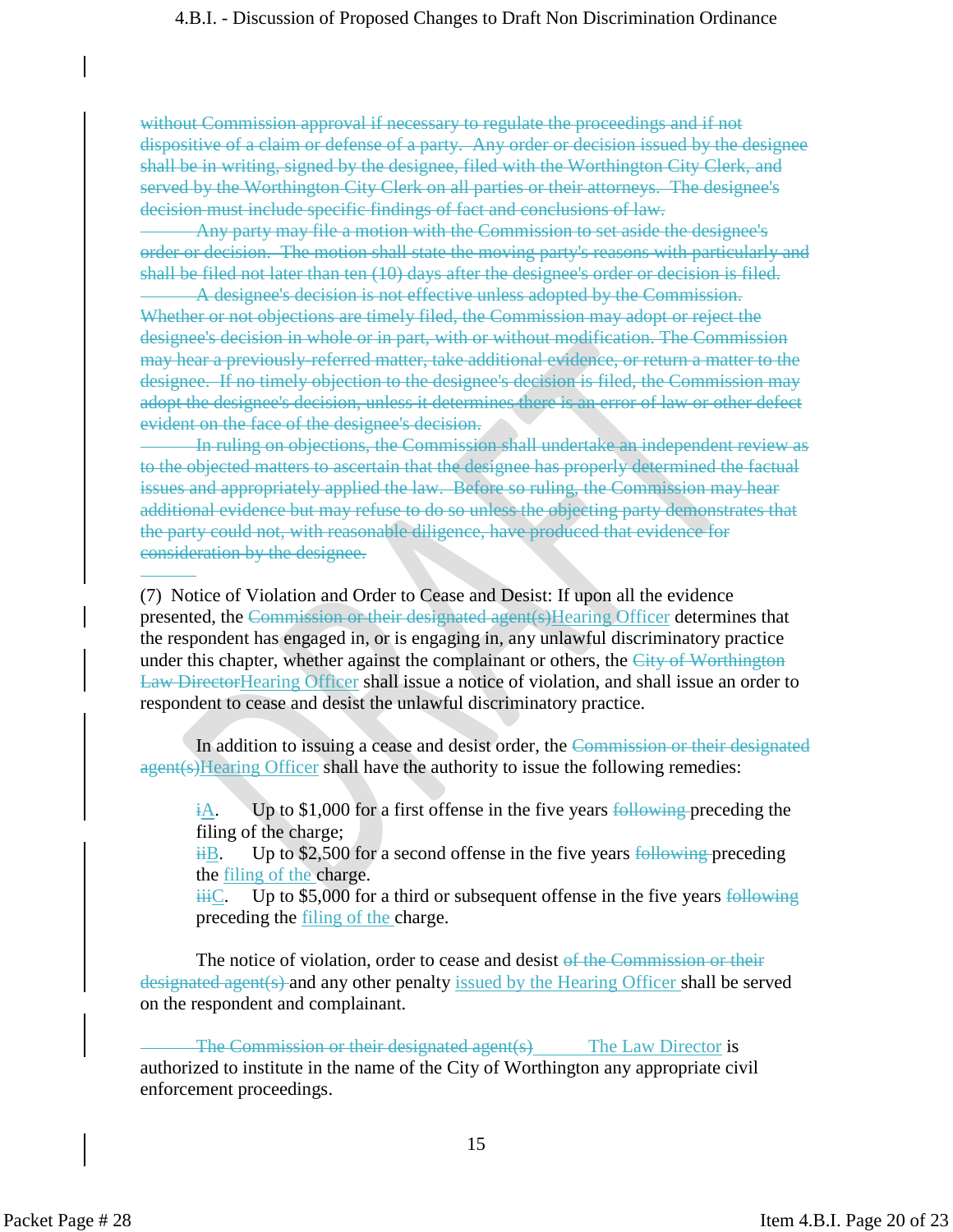without Commission approval if necessary to regulate the proceedings and if not dispositive of a claim or defense of a party. Any order or decision issued by the designee shall be in writing, signed by the designee, filed with the Worthington City Clerk, and served by the Worthington City Clerk on all parties or their attorneys. The designee's decision must include specific findings of fact and conclusions of law.

Any party may file a motion with the Commission to set aside the designee's order or decision. The motion shall state the moving party's reasons with particularly and shall be filed not later than ten (10) days after the designee's order or decision is filed.

A designee's decision is not effective unless adopted by the Commission. Whether or not objections are timely filed, the Commission may adopt or reject the designee's decision in whole or in part, with or without modification. The Commission may hear a previously-referred matter, take additional evidence, or return a matter to the designee. If no timely objection to the designee's decision is filed, the Commission may adopt the designee's decision, unless it determines there is an error of law or other defect evident on the face of the designee's decision.

In ruling on objections, the Commission shall undertake an independent review as to the objected matters to ascertain that the designee has properly determined the factual issues and appropriately applied the law. Before so ruling, the Commission may hear additional evidence but may refuse to do so unless the objecting party demonstrates that the party could not, with reasonable diligence, have produced that evidence for consideration by the designee.

(7) Notice of Violation and Order to Cease and Desist: If upon all the evidence presented, the Commission or their designated agent(s)Hearing Officer determines that the respondent has engaged in, or is engaging in, any unlawful discriminatory practice under this chapter, whether against the complainant or others, the City of Worthington Law DirectorHearing Officer shall issue a notice of violation, and shall issue an order to respondent to cease and desist the unlawful discriminatory practice.

In addition to issuing a cease and desist order, the Commission or their designated agent(s)Hearing Officer shall have the authority to issue the following remedies:

 $\frac{dA}{dA}$ . Up to \$1,000 for a first offense in the five years following preceding the filing of the charge;

 $\frac{16}{16}$ . Up to \$2,500 for a second offense in the five years following preceding the filing of the charge.

 $\frac{1}{111}C$ . Up to \$5,000 for a third or subsequent offense in the five years following preceding the filing of the charge.

The notice of violation, order to cease and desist of the Commission or their designated agent(s) and any other penalty issued by the Hearing Officer shall be served on the respondent and complainant.

The Commission or their designated agent(s) The Law Director is authorized to institute in the name of the City of Worthington any appropriate civil enforcement proceedings.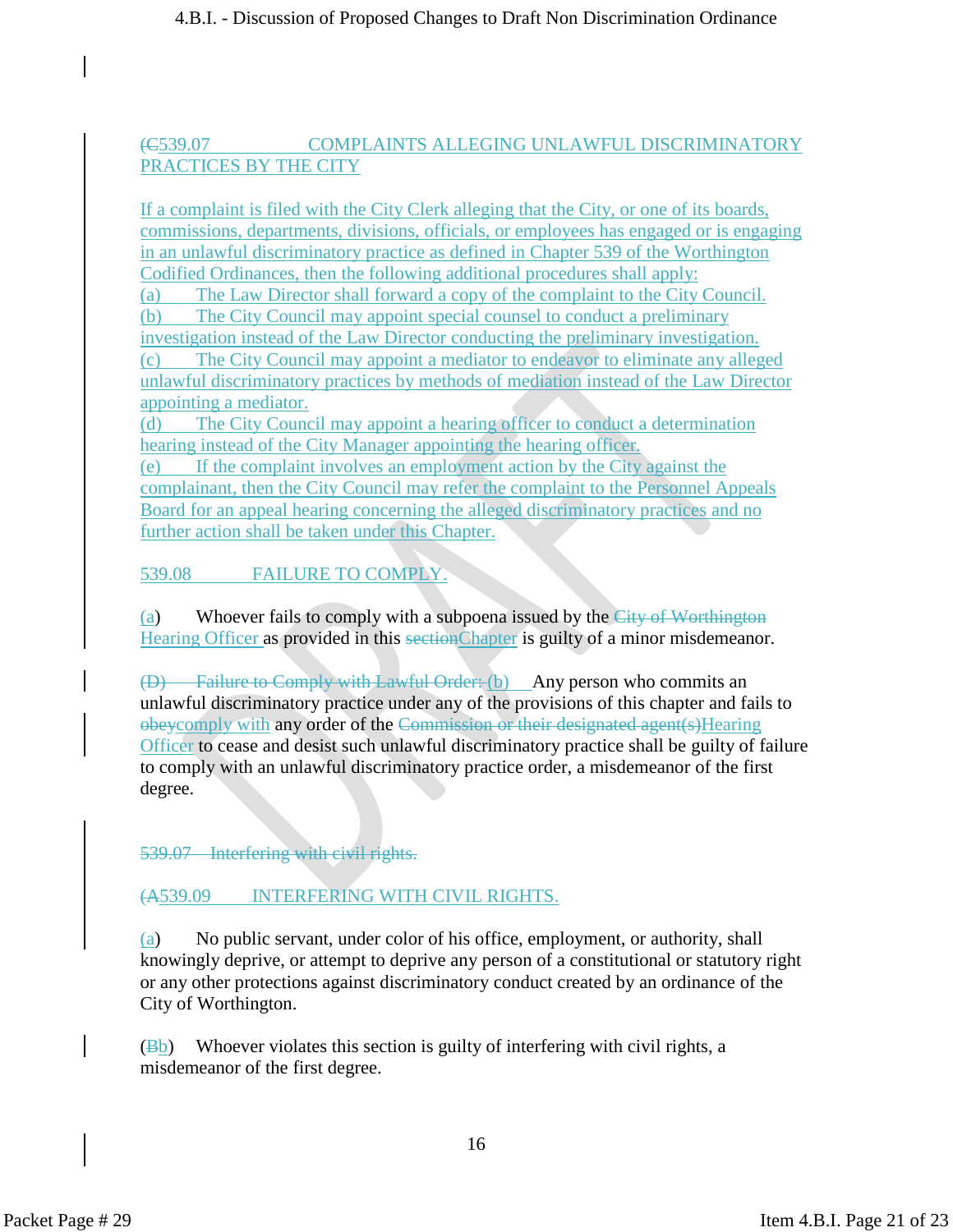## (C539.07 COMPLAINTS ALLEGING UNLAWFUL DISCRIMINATORY PRACTICES BY THE CITY

If a complaint is filed with the City Clerk alleging that the City, or one of its boards, commissions, departments, divisions, officials, or employees has engaged or is engaging in an unlawful discriminatory practice as defined in Chapter 539 of the Worthington Codified Ordinances, then the following additional procedures shall apply:

(a) The Law Director shall forward a copy of the complaint to the City Council.

(b) The City Council may appoint special counsel to conduct a preliminary investigation instead of the Law Director conducting the preliminary investigation.

(c) The City Council may appoint a mediator to endeavor to eliminate any alleged unlawful discriminatory practices by methods of mediation instead of the Law Director appointing a mediator.

(d) The City Council may appoint a hearing officer to conduct a determination hearing instead of the City Manager appointing the hearing officer.

(e) If the complaint involves an employment action by the City against the complainant, then the City Council may refer the complaint to the Personnel Appeals Board for an appeal hearing concerning the alleged discriminatory practices and no further action shall be taken under this Chapter.

539.08 FAILURE TO COMPLY.

(a) Whoever fails to comply with a subpoena issued by the City of Worthington Hearing Officer as provided in this sectionChapter is guilty of a minor misdemeanor.

(D) Failure to Comply with Lawful Order: (b) Any person who commits an unlawful discriminatory practice under any of the provisions of this chapter and fails to obeycomply with any order of the Commission or their designated agent(s)Hearing Officer to cease and desist such unlawful discriminatory practice shall be guilty of failure to comply with an unlawful discriminatory practice order, a misdemeanor of the first degree.

539.07 – Interfering with civil rights.

# (A539.09 INTERFERING WITH CIVIL RIGHTS.

(a) No public servant, under color of his office, employment, or authority, shall knowingly deprive, or attempt to deprive any person of a constitutional or statutory right or any other protections against discriminatory conduct created by an ordinance of the City of Worthington.

 $(\overline{Bb})$  Whoever violates this section is guilty of interfering with civil rights, a misdemeanor of the first degree.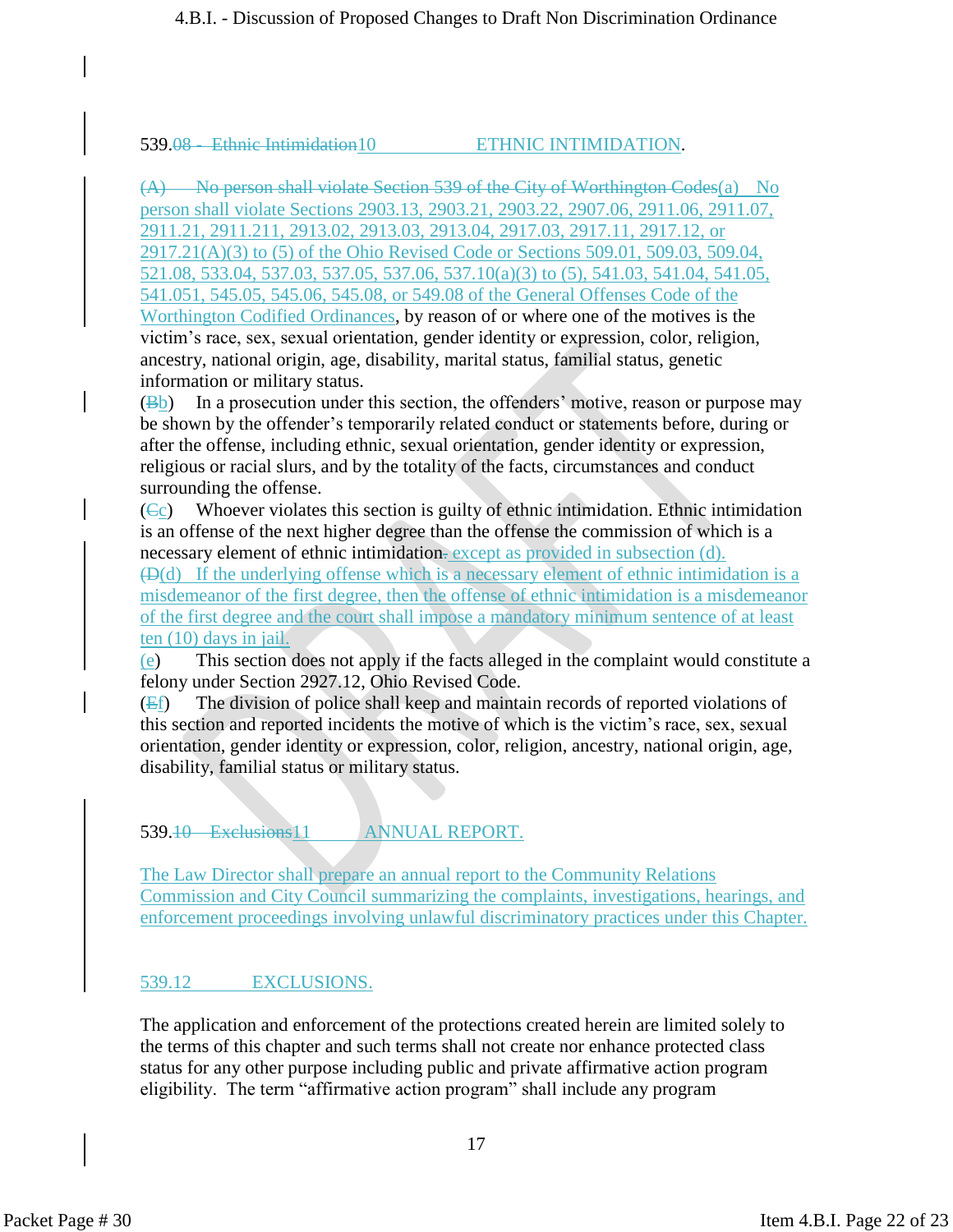#### 539.08 - Ethnic Intimidation10 ETHNIC INTIMIDATION.

(A) No person shall violate Section 539 of the City of Worthington Codes(a) No person shall violate Sections 2903.13, 2903.21, 2903.22, 2907.06, 2911.06, 2911.07, 2911.21, 2911.211, 2913.02, 2913.03, 2913.04, 2917.03, 2917.11, 2917.12, or 2917.21(A)(3) to (5) of the Ohio Revised Code or Sections 509.01, 509.03, 509.04, 521.08, 533.04, 537.03, 537.05, 537.06, 537.10(a)(3) to (5), 541.03, 541.04, 541.05, 541.051, 545.05, 545.06, 545.08, or 549.08 of the General Offenses Code of the Worthington Codified Ordinances, by reason of or where one of the motives is the victim's race, sex, sexual orientation, gender identity or expression, color, religion, ancestry, national origin, age, disability, marital status, familial status, genetic information or military status.

(Bb) In a prosecution under this section, the offenders' motive, reason or purpose may be shown by the offender's temporarily related conduct or statements before, during or after the offense, including ethnic, sexual orientation, gender identity or expression, religious or racial slurs, and by the totality of the facts, circumstances and conduct surrounding the offense.

 $(C<sub>c</sub>)$  Whoever violates this section is guilty of ethnic intimidation. Ethnic intimidation is an offense of the next higher degree than the offense the commission of which is a necessary element of ethnic intimidation. except as provided in subsection (d).  $(\Theta(d))$  If the underlying offense which is a necessary element of ethnic intimidation is a misdemeanor of the first degree, then the offense of ethnic intimidation is a misdemeanor of the first degree and the court shall impose a mandatory minimum sentence of at least ten (10) days in jail.

(e) This section does not apply if the facts alleged in the complaint would constitute a felony under Section 2927.12, Ohio Revised Code.

 $(Ef)$  The division of police shall keep and maintain records of reported violations of this section and reported incidents the motive of which is the victim's race, sex, sexual orientation, gender identity or expression, color, religion, ancestry, national origin, age, disability, familial status or military status.

#### 539.10 Exclusions 11 ANNUAL REPORT.

The Law Director shall prepare an annual report to the Community Relations Commission and City Council summarizing the complaints, investigations, hearings, and enforcement proceedings involving unlawful discriminatory practices under this Chapter.

#### 539.12 EXCLUSIONS.

The application and enforcement of the protections created herein are limited solely to the terms of this chapter and such terms shall not create nor enhance protected class status for any other purpose including public and private affirmative action program eligibility. The term "affirmative action program" shall include any program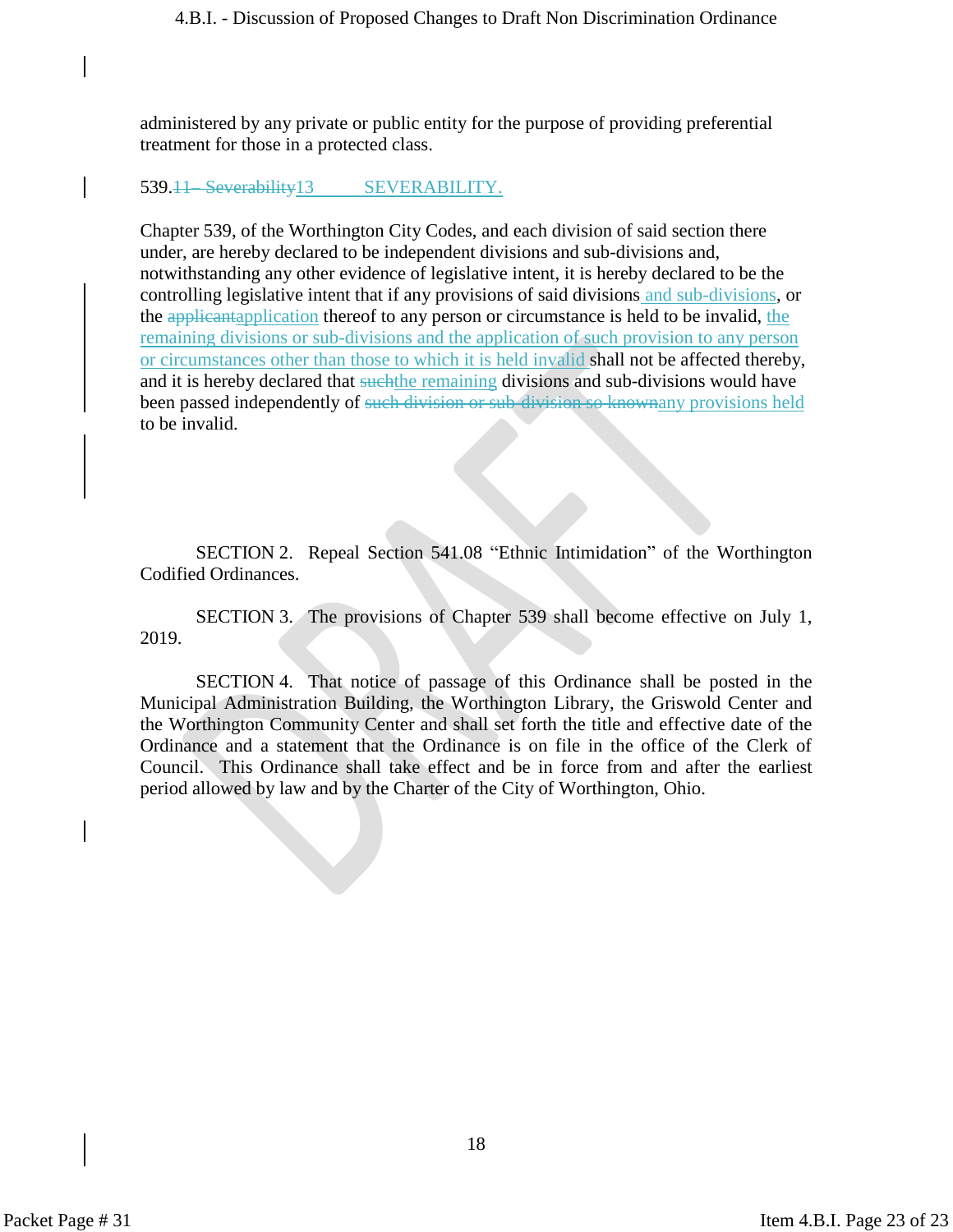administered by any private or public entity for the purpose of providing preferential treatment for those in a protected class.

#### 539.<del>11 Severability</del>13 SEVERABILITY.

Chapter 539, of the Worthington City Codes, and each division of said section there under, are hereby declared to be independent divisions and sub-divisions and, notwithstanding any other evidence of legislative intent, it is hereby declared to be the controlling legislative intent that if any provisions of said divisions and sub-divisions, or the applicantapplication thereof to any person or circumstance is held to be invalid, the remaining divisions or sub-divisions and the application of such provision to any person or circumstances other than those to which it is held invalid shall not be affected thereby, and it is hereby declared that such the remaining divisions and sub-divisions would have been passed independently of such division or sub-division so knownany provisions held to be invalid.

SECTION 2. Repeal Section 541.08 "Ethnic Intimidation" of the Worthington Codified Ordinances.

SECTION 3. The provisions of Chapter 539 shall become effective on July 1, 2019.

SECTION 4. That notice of passage of this Ordinance shall be posted in the Municipal Administration Building, the Worthington Library, the Griswold Center and the Worthington Community Center and shall set forth the title and effective date of the Ordinance and a statement that the Ordinance is on file in the office of the Clerk of Council. This Ordinance shall take effect and be in force from and after the earliest period allowed by law and by the Charter of the City of Worthington, Ohio.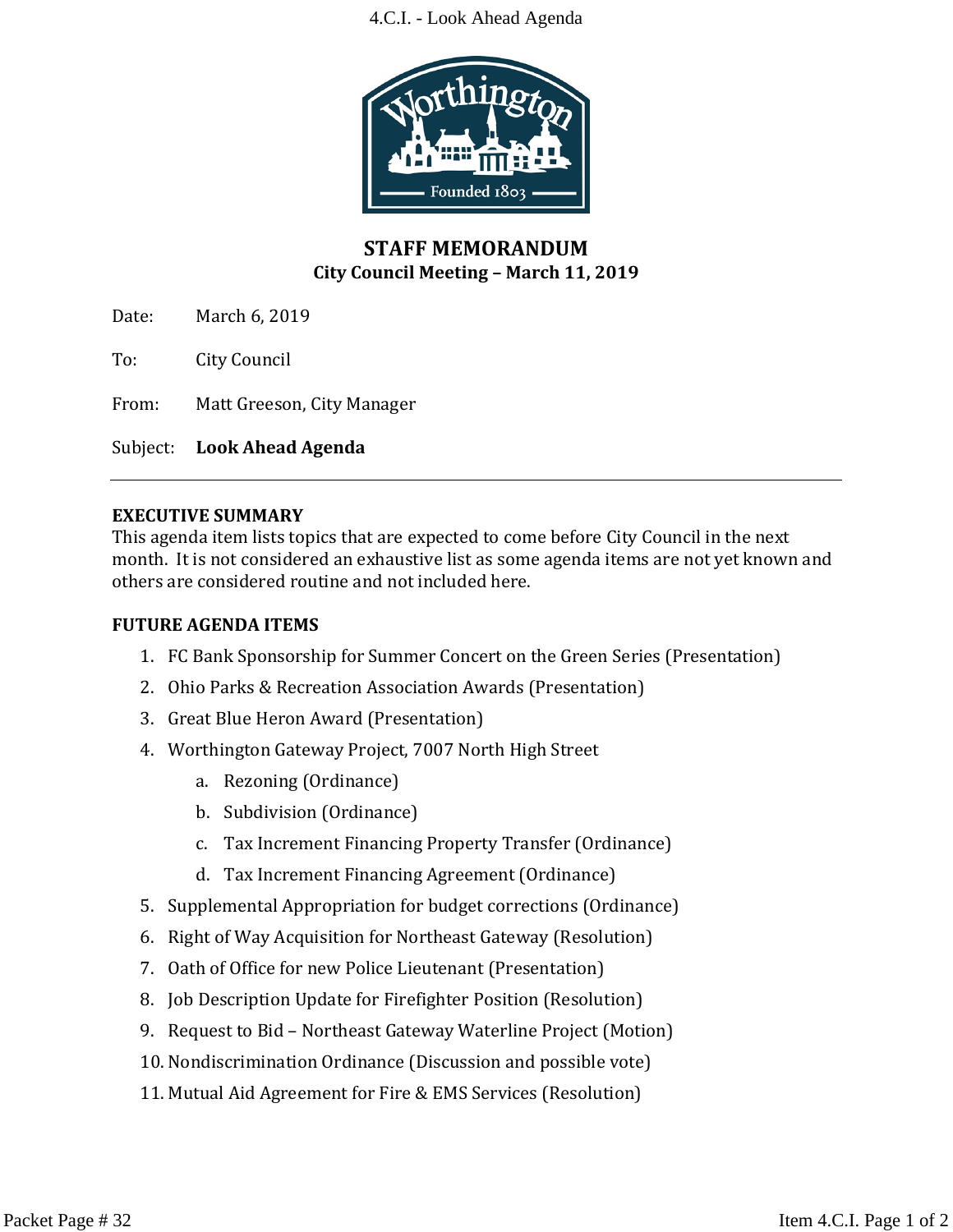#### 4.C.I. - Look Ahead Agenda



# **STAFF MEMORANDUM City Council Meeting – March 11, 2019**

Date: March 6, 2019

To: City Council

From: Matt Greeson, City Manager

Subject: **Look Ahead Agenda**

#### **EXECUTIVE SUMMARY**

This agenda item lists topics that are expected to come before City Council in the next month. It is not considered an exhaustive list as some agenda items are not yet known and others are considered routine and not included here.

#### **FUTURE AGENDA ITEMS**

- 1. FC Bank Sponsorship for Summer Concert on the Green Series (Presentation)
- 2. Ohio Parks & Recreation Association Awards (Presentation)
- 3. Great Blue Heron Award (Presentation)
- 4. Worthington Gateway Project, 7007 North High Street
	- a. Rezoning (Ordinance)
	- b. Subdivision (Ordinance)
	- c. Tax Increment Financing Property Transfer (Ordinance)
	- d. Tax Increment Financing Agreement (Ordinance)
- 5. Supplemental Appropriation for budget corrections (Ordinance)
- 6. Right of Way Acquisition for Northeast Gateway (Resolution)
- 7. Oath of Office for new Police Lieutenant (Presentation)
- 8. Job Description Update for Firefighter Position (Resolution)
- 9. Request to Bid Northeast Gateway Waterline Project (Motion)
- 10. Nondiscrimination Ordinance (Discussion and possible vote)
- 11. Mutual Aid Agreement for Fire & EMS Services (Resolution)